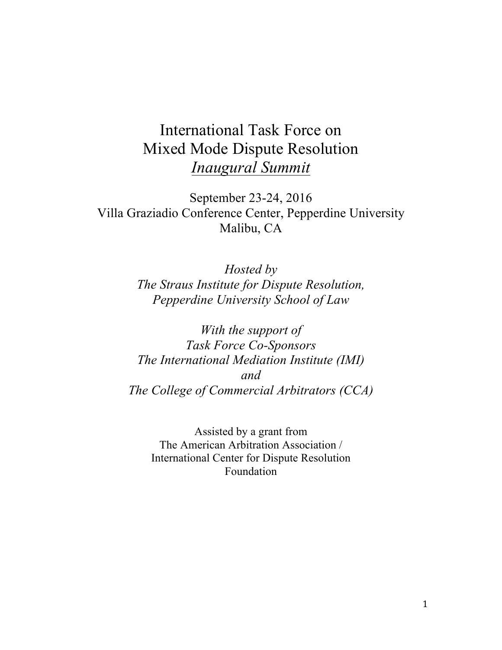# International Task Force on Mixed Mode Dispute Resolution *Inaugural Summit*

September 23-24, 2016 Villa Graziadio Conference Center, Pepperdine University Malibu, CA

> *Hosted by The Straus Institute for Dispute Resolution, Pepperdine University School of Law*

*With the support of Task Force Co-Sponsors The International Mediation Institute (IMI) and The College of Commercial Arbitrators (CCA)*

Assisted by a grant from The American Arbitration Association / International Center for Dispute Resolution Foundation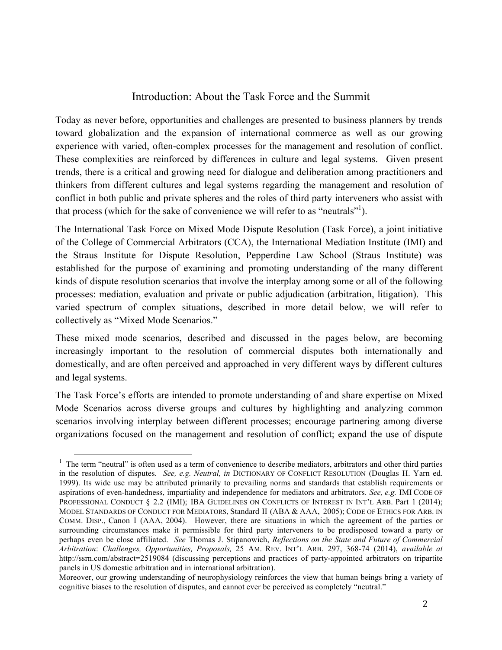# Introduction: About the Task Force and the Summit

Today as never before, opportunities and challenges are presented to business planners by trends toward globalization and the expansion of international commerce as well as our growing experience with varied, often-complex processes for the management and resolution of conflict. These complexities are reinforced by differences in culture and legal systems. Given present trends, there is a critical and growing need for dialogue and deliberation among practitioners and thinkers from different cultures and legal systems regarding the management and resolution of conflict in both public and private spheres and the roles of third party interveners who assist with that process (which for the sake of convenience we will refer to as "neutrals"<sup>1</sup>).

The International Task Force on Mixed Mode Dispute Resolution (Task Force), a joint initiative of the College of Commercial Arbitrators (CCA), the International Mediation Institute (IMI) and the Straus Institute for Dispute Resolution, Pepperdine Law School (Straus Institute) was established for the purpose of examining and promoting understanding of the many different kinds of dispute resolution scenarios that involve the interplay among some or all of the following processes: mediation, evaluation and private or public adjudication (arbitration, litigation). This varied spectrum of complex situations, described in more detail below, we will refer to collectively as "Mixed Mode Scenarios."

These mixed mode scenarios, described and discussed in the pages below, are becoming increasingly important to the resolution of commercial disputes both internationally and domestically, and are often perceived and approached in very different ways by different cultures and legal systems.

The Task Force's efforts are intended to promote understanding of and share expertise on Mixed Mode Scenarios across diverse groups and cultures by highlighting and analyzing common scenarios involving interplay between different processes; encourage partnering among diverse organizations focused on the management and resolution of conflict; expand the use of dispute

<sup>&</sup>lt;sup>1</sup> The term "neutral" is often used as a term of convenience to describe mediators, arbitrators and other third parties in the resolution of disputes. *See, e.g. Neutral, in* DICTIONARY OF CONFLICT RESOLUTION (Douglas H. Yarn ed. 1999). Its wide use may be attributed primarily to prevailing norms and standards that establish requirements or aspirations of even-handedness, impartiality and independence for mediators and arbitrators. *See, e.g.* IMI CODE OF PROFESSIONAL CONDUCT § 2.2 (IMI); IBA GUIDELINES ON CONFLICTS OF INTEREST IN INT'L ARB. Part 1 (2014); MODEL STANDARDS OF CONDUCT FOR MEDIATORS, Standard II (ABA & AAA, 2005); CODE OF ETHICS FOR ARB. IN COMM. DISP., Canon I (AAA, 2004). However, there are situations in which the agreement of the parties or surrounding circumstances make it permissible for third party interveners to be predisposed toward a party or perhaps even be close affiliated. *See* Thomas J. Stipanowich, *Reflections on the State and Future of Commercial Arbitration*: *Challenges, Opportunities, Proposals,* 25 AM. REV. INT'L ARB. 297, 368-74 (2014), *available at* http://ssrn.com/abstract=2519084 (discussing perceptions and practices of party-appointed arbitrators on tripartite panels in US domestic arbitration and in international arbitration).

Moreover, our growing understanding of neurophysiology reinforces the view that human beings bring a variety of cognitive biases to the resolution of disputes, and cannot ever be perceived as completely "neutral."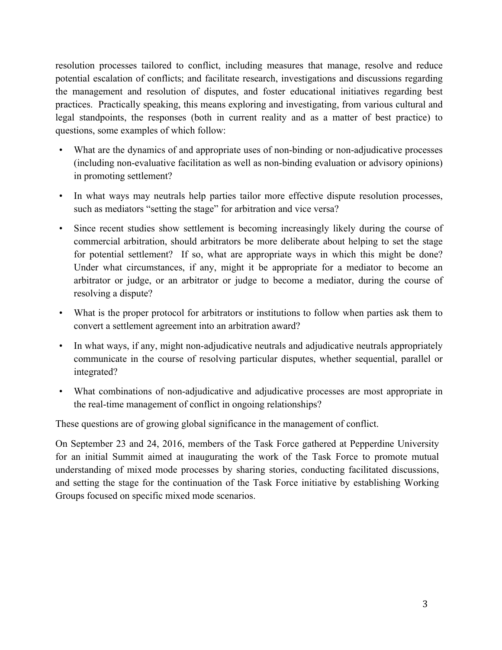resolution processes tailored to conflict, including measures that manage, resolve and reduce potential escalation of conflicts; and facilitate research, investigations and discussions regarding the management and resolution of disputes, and foster educational initiatives regarding best practices. Practically speaking, this means exploring and investigating, from various cultural and legal standpoints, the responses (both in current reality and as a matter of best practice) to questions, some examples of which follow:

- What are the dynamics of and appropriate uses of non-binding or non-adjudicative processes (including non-evaluative facilitation as well as non-binding evaluation or advisory opinions) in promoting settlement?
- In what ways may neutrals help parties tailor more effective dispute resolution processes, such as mediators "setting the stage" for arbitration and vice versa?
- Since recent studies show settlement is becoming increasingly likely during the course of commercial arbitration, should arbitrators be more deliberate about helping to set the stage for potential settlement? If so, what are appropriate ways in which this might be done? Under what circumstances, if any, might it be appropriate for a mediator to become an arbitrator or judge, or an arbitrator or judge to become a mediator, during the course of resolving a dispute?
- What is the proper protocol for arbitrators or institutions to follow when parties ask them to convert a settlement agreement into an arbitration award?
- In what ways, if any, might non-adjudicative neutrals and adjudicative neutrals appropriately communicate in the course of resolving particular disputes, whether sequential, parallel or integrated?
- What combinations of non-adjudicative and adjudicative processes are most appropriate in the real-time management of conflict in ongoing relationships?

These questions are of growing global significance in the management of conflict.

On September 23 and 24, 2016, members of the Task Force gathered at Pepperdine University for an initial Summit aimed at inaugurating the work of the Task Force to promote mutual understanding of mixed mode processes by sharing stories, conducting facilitated discussions, and setting the stage for the continuation of the Task Force initiative by establishing Working Groups focused on specific mixed mode scenarios.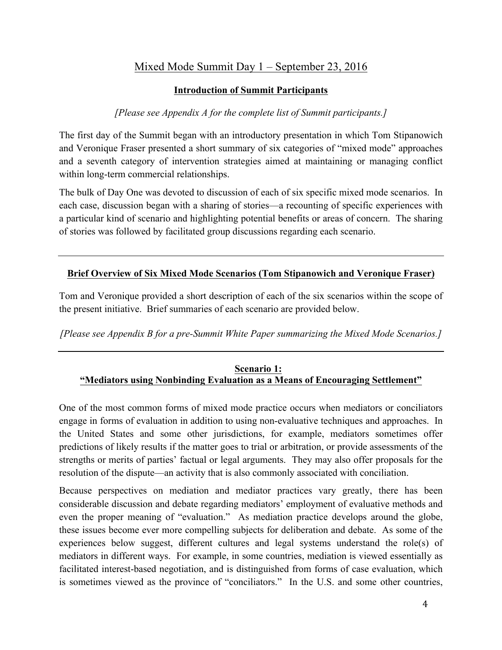# Mixed Mode Summit Day 1 – September 23, 2016

#### **Introduction of Summit Participants**

## *[Please see Appendix A for the complete list of Summit participants.]*

The first day of the Summit began with an introductory presentation in which Tom Stipanowich and Veronique Fraser presented a short summary of six categories of "mixed mode" approaches and a seventh category of intervention strategies aimed at maintaining or managing conflict within long-term commercial relationships.

The bulk of Day One was devoted to discussion of each of six specific mixed mode scenarios. In each case, discussion began with a sharing of stories—a recounting of specific experiences with a particular kind of scenario and highlighting potential benefits or areas of concern. The sharing of stories was followed by facilitated group discussions regarding each scenario.

## **Brief Overview of Six Mixed Mode Scenarios (Tom Stipanowich and Veronique Fraser)**

Tom and Veronique provided a short description of each of the six scenarios within the scope of the present initiative. Brief summaries of each scenario are provided below.

*[Please see Appendix B for a pre-Summit White Paper summarizing the Mixed Mode Scenarios.]*

#### **Scenario 1: "Mediators using Nonbinding Evaluation as a Means of Encouraging Settlement"**

One of the most common forms of mixed mode practice occurs when mediators or conciliators engage in forms of evaluation in addition to using non-evaluative techniques and approaches. In the United States and some other jurisdictions, for example, mediators sometimes offer predictions of likely results if the matter goes to trial or arbitration, or provide assessments of the strengths or merits of parties' factual or legal arguments. They may also offer proposals for the resolution of the dispute—an activity that is also commonly associated with conciliation.

Because perspectives on mediation and mediator practices vary greatly, there has been considerable discussion and debate regarding mediators' employment of evaluative methods and even the proper meaning of "evaluation." As mediation practice develops around the globe, these issues become ever more compelling subjects for deliberation and debate. As some of the experiences below suggest, different cultures and legal systems understand the role(s) of mediators in different ways. For example, in some countries, mediation is viewed essentially as facilitated interest-based negotiation, and is distinguished from forms of case evaluation, which is sometimes viewed as the province of "conciliators." In the U.S. and some other countries,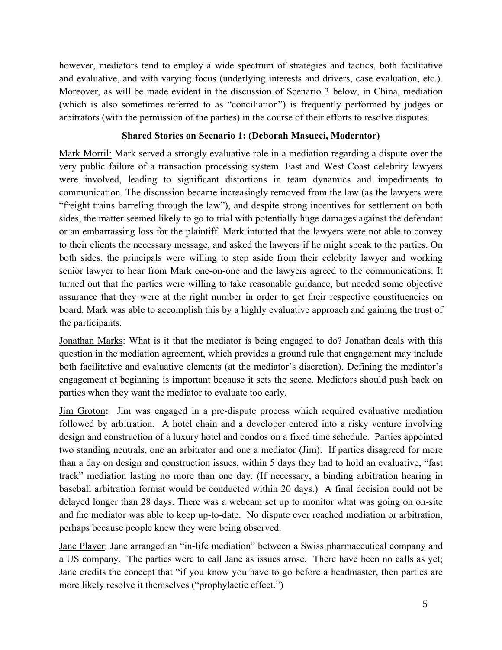however, mediators tend to employ a wide spectrum of strategies and tactics, both facilitative and evaluative, and with varying focus (underlying interests and drivers, case evaluation, etc.). Moreover, as will be made evident in the discussion of Scenario 3 below, in China, mediation (which is also sometimes referred to as "conciliation") is frequently performed by judges or arbitrators (with the permission of the parties) in the course of their efforts to resolve disputes.

#### **Shared Stories on Scenario 1: (Deborah Masucci, Moderator)**

Mark Morril: Mark served a strongly evaluative role in a mediation regarding a dispute over the very public failure of a transaction processing system. East and West Coast celebrity lawyers were involved, leading to significant distortions in team dynamics and impediments to communication. The discussion became increasingly removed from the law (as the lawyers were "freight trains barreling through the law"), and despite strong incentives for settlement on both sides, the matter seemed likely to go to trial with potentially huge damages against the defendant or an embarrassing loss for the plaintiff. Mark intuited that the lawyers were not able to convey to their clients the necessary message, and asked the lawyers if he might speak to the parties. On both sides, the principals were willing to step aside from their celebrity lawyer and working senior lawyer to hear from Mark one-on-one and the lawyers agreed to the communications. It turned out that the parties were willing to take reasonable guidance, but needed some objective assurance that they were at the right number in order to get their respective constituencies on board. Mark was able to accomplish this by a highly evaluative approach and gaining the trust of the participants.

Jonathan Marks: What is it that the mediator is being engaged to do? Jonathan deals with this question in the mediation agreement, which provides a ground rule that engagement may include both facilitative and evaluative elements (at the mediator's discretion). Defining the mediator's engagement at beginning is important because it sets the scene. Mediators should push back on parties when they want the mediator to evaluate too early.

Jim Groton**:** Jim was engaged in a pre-dispute process which required evaluative mediation followed by arbitration. A hotel chain and a developer entered into a risky venture involving design and construction of a luxury hotel and condos on a fixed time schedule. Parties appointed two standing neutrals, one an arbitrator and one a mediator (Jim). If parties disagreed for more than a day on design and construction issues, within 5 days they had to hold an evaluative, "fast track" mediation lasting no more than one day. (If necessary, a binding arbitration hearing in baseball arbitration format would be conducted within 20 days.) A final decision could not be delayed longer than 28 days. There was a webcam set up to monitor what was going on on-site and the mediator was able to keep up-to-date. No dispute ever reached mediation or arbitration, perhaps because people knew they were being observed.

Jane Player: Jane arranged an "in-life mediation" between a Swiss pharmaceutical company and a US company. The parties were to call Jane as issues arose. There have been no calls as yet; Jane credits the concept that "if you know you have to go before a headmaster, then parties are more likely resolve it themselves ("prophylactic effect.")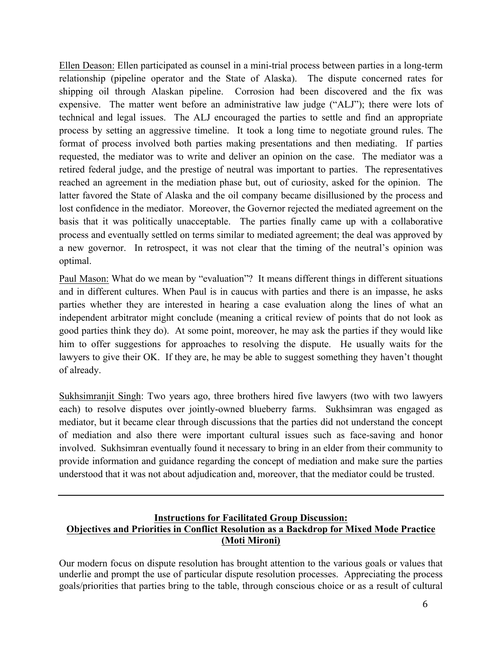Ellen Deason: Ellen participated as counsel in a mini-trial process between parties in a long-term relationship (pipeline operator and the State of Alaska). The dispute concerned rates for shipping oil through Alaskan pipeline. Corrosion had been discovered and the fix was expensive. The matter went before an administrative law judge ("ALJ"); there were lots of technical and legal issues. The ALJ encouraged the parties to settle and find an appropriate process by setting an aggressive timeline. It took a long time to negotiate ground rules. The format of process involved both parties making presentations and then mediating. If parties requested, the mediator was to write and deliver an opinion on the case. The mediator was a retired federal judge, and the prestige of neutral was important to parties. The representatives reached an agreement in the mediation phase but, out of curiosity, asked for the opinion. The latter favored the State of Alaska and the oil company became disillusioned by the process and lost confidence in the mediator. Moreover, the Governor rejected the mediated agreement on the basis that it was politically unacceptable. The parties finally came up with a collaborative process and eventually settled on terms similar to mediated agreement; the deal was approved by a new governor. In retrospect, it was not clear that the timing of the neutral's opinion was optimal.

Paul Mason: What do we mean by "evaluation"? It means different things in different situations and in different cultures. When Paul is in caucus with parties and there is an impasse, he asks parties whether they are interested in hearing a case evaluation along the lines of what an independent arbitrator might conclude (meaning a critical review of points that do not look as good parties think they do). At some point, moreover, he may ask the parties if they would like him to offer suggestions for approaches to resolving the dispute. He usually waits for the lawyers to give their OK. If they are, he may be able to suggest something they haven't thought of already.

Sukhsimranjit Singh: Two years ago, three brothers hired five lawyers (two with two lawyers each) to resolve disputes over jointly-owned blueberry farms. Sukhsimran was engaged as mediator, but it became clear through discussions that the parties did not understand the concept of mediation and also there were important cultural issues such as face-saving and honor involved. Sukhsimran eventually found it necessary to bring in an elder from their community to provide information and guidance regarding the concept of mediation and make sure the parties understood that it was not about adjudication and, moreover, that the mediator could be trusted.

#### **Instructions for Facilitated Group Discussion: Objectives and Priorities in Conflict Resolution as a Backdrop for Mixed Mode Practice (Moti Mironi)**

Our modern focus on dispute resolution has brought attention to the various goals or values that underlie and prompt the use of particular dispute resolution processes. Appreciating the process goals/priorities that parties bring to the table, through conscious choice or as a result of cultural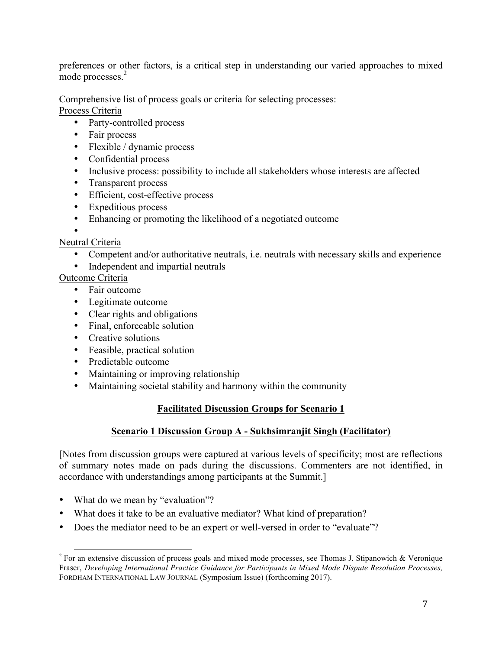preferences or other factors, is a critical step in understanding our varied approaches to mixed mode processes.<sup>2</sup>

Comprehensive list of process goals or criteria for selecting processes:

Process Criteria

- Party-controlled process
- Fair process
- Flexible / dynamic process
- Confidential process
- Inclusive process: possibility to include all stakeholders whose interests are affected
- Transparent process
- Efficient, cost-effective process
- Expeditious process
- Enhancing or promoting the likelihood of a negotiated outcome

• Neutral Criteria

- Competent and/or authoritative neutrals, i.e. neutrals with necessary skills and experience
- Independent and impartial neutrals

Outcome Criteria

- Fair outcome
- Legitimate outcome
- Clear rights and obligations
- Final, enforceable solution
- Creative solutions
- Feasible, practical solution
- Predictable outcome
- Maintaining or improving relationship
- Maintaining societal stability and harmony within the community

## **Facilitated Discussion Groups for Scenario 1**

#### **Scenario 1 Discussion Group A - Sukhsimranjit Singh (Facilitator)**

[Notes from discussion groups were captured at various levels of specificity; most are reflections of summary notes made on pads during the discussions. Commenters are not identified, in accordance with understandings among participants at the Summit.]

- What do we mean by "evaluation"?
- What does it take to be an evaluative mediator? What kind of preparation?
- Does the mediator need to be an expert or well-versed in order to "evaluate"?

<sup>&</sup>lt;sup>2</sup> For an extensive discussion of process goals and mixed mode processes, see Thomas J. Stipanowich & Veronique Fraser, *Developing International Practice Guidance for Participants in Mixed Mode Dispute Resolution Processes,*  FORDHAM INTERNATIONAL LAW JOURNAL (Symposium Issue) (forthcoming 2017).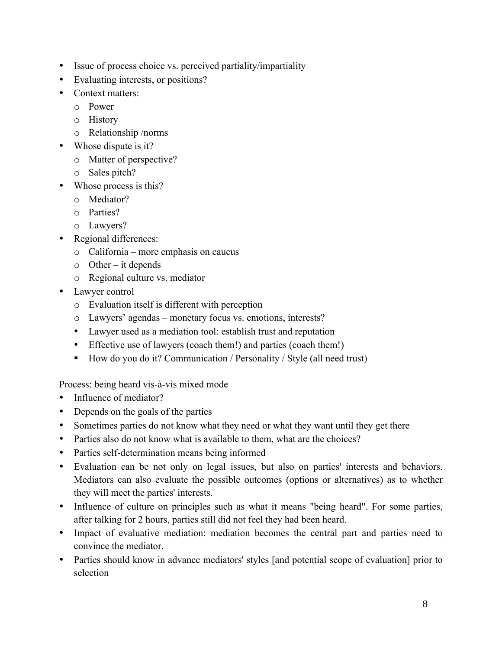- Issue of process choice vs. perceived partiality/impartiality
- Evaluating interests, or positions?
- Context matters:
	- o Power
	- o History
	- o Relationship /norms
- Whose dispute is it?
	- o Matter of perspective?
	- o Sales pitch?
- Whose process is this?
	- o Mediator?
	- o Parties?
	- o Lawyers?
- Regional differences:
	- o California more emphasis on caucus
	- $\circ$  Other it depends
	- o Regional culture vs. mediator
- Lawyer control
	- o Evaluation itself is different with perception
	- o Lawyers' agendas monetary focus vs. emotions, interests?
	- Lawyer used as a mediation tool: establish trust and reputation
	- Effective use of lawyers (coach them!) and parties (coach them!)
	- How do you do it? Communication / Personality / Style (all need trust)

## Process: being heard vis-à-vis mixed mode

- Influence of mediator?
- Depends on the goals of the parties
- Sometimes parties do not know what they need or what they want until they get there
- Parties also do not know what is available to them, what are the choices?
- Parties self-determination means being informed
- Evaluation can be not only on legal issues, but also on parties' interests and behaviors. Mediators can also evaluate the possible outcomes (options or alternatives) as to whether they will meet the parties' interests.
- Influence of culture on principles such as what it means "being heard". For some parties, after talking for 2 hours, parties still did not feel they had been heard.
- Impact of evaluative mediation: mediation becomes the central part and parties need to convince the mediator.
- Parties should know in advance mediators' styles [and potential scope of evaluation] prior to selection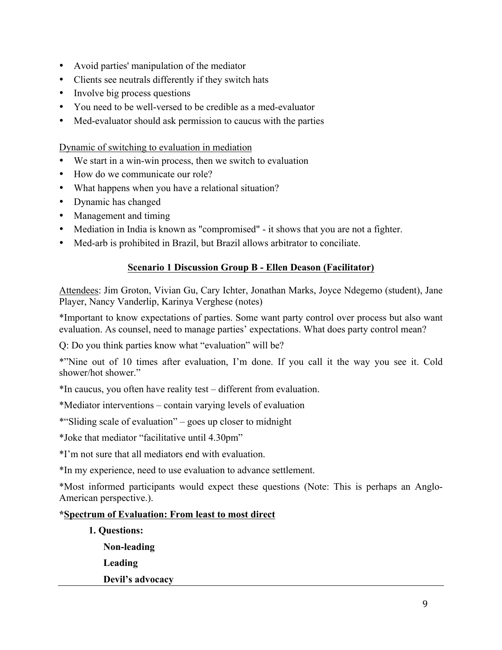- Avoid parties' manipulation of the mediator
- Clients see neutrals differently if they switch hats
- Involve big process questions
- You need to be well-versed to be credible as a med-evaluator
- Med-evaluator should ask permission to caucus with the parties

Dynamic of switching to evaluation in mediation

- We start in a win-win process, then we switch to evaluation
- How do we communicate our role?
- What happens when you have a relational situation?
- Dynamic has changed
- Management and timing
- Mediation in India is known as "compromised" it shows that you are not a fighter.
- Med-arb is prohibited in Brazil, but Brazil allows arbitrator to conciliate.

#### **Scenario 1 Discussion Group B - Ellen Deason (Facilitator)**

Attendees: Jim Groton, Vivian Gu, Cary Ichter, Jonathan Marks, Joyce Ndegemo (student), Jane Player, Nancy Vanderlip, Karinya Verghese (notes)

\*Important to know expectations of parties. Some want party control over process but also want evaluation. As counsel, need to manage parties' expectations. What does party control mean?

Q: Do you think parties know what "evaluation" will be?

\*"Nine out of 10 times after evaluation, I'm done. If you call it the way you see it. Cold shower/hot shower."

\*In caucus, you often have reality test – different from evaluation.

\*Mediator interventions – contain varying levels of evaluation

\*"Sliding scale of evaluation" – goes up closer to midnight

\*Joke that mediator "facilitative until 4.30pm"

\*I'm not sure that all mediators end with evaluation.

\*In my experience, need to use evaluation to advance settlement.

\*Most informed participants would expect these questions (Note: This is perhaps an Anglo-American perspective.).

#### **\*Spectrum of Evaluation: From least to most direct**

- **1. Questions: Non-leading Leading**
	- **Devil's advocacy**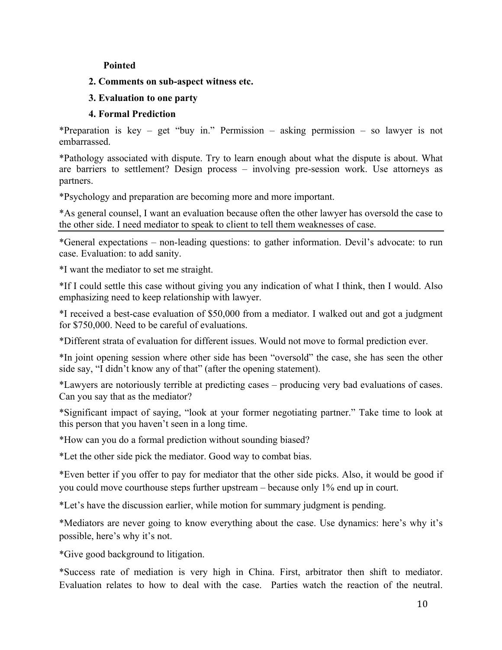#### **Pointed**

#### **2. Comments on sub-aspect witness etc.**

#### **3. Evaluation to one party**

#### **4. Formal Prediction**

\*Preparation is key – get "buy in." Permission – asking permission – so lawyer is not embarrassed.

\*Pathology associated with dispute. Try to learn enough about what the dispute is about. What are barriers to settlement? Design process – involving pre-session work. Use attorneys as partners.

\*Psychology and preparation are becoming more and more important.

\*As general counsel, I want an evaluation because often the other lawyer has oversold the case to the other side. I need mediator to speak to client to tell them weaknesses of case.

\*General expectations – non-leading questions: to gather information. Devil's advocate: to run case. Evaluation: to add sanity.

\*I want the mediator to set me straight.

\*If I could settle this case without giving you any indication of what I think, then I would. Also emphasizing need to keep relationship with lawyer.

\*I received a best-case evaluation of \$50,000 from a mediator. I walked out and got a judgment for \$750,000. Need to be careful of evaluations.

\*Different strata of evaluation for different issues. Would not move to formal prediction ever.

\*In joint opening session where other side has been "oversold" the case, she has seen the other side say, "I didn't know any of that" (after the opening statement).

\*Lawyers are notoriously terrible at predicting cases – producing very bad evaluations of cases. Can you say that as the mediator?

\*Significant impact of saying, "look at your former negotiating partner." Take time to look at this person that you haven't seen in a long time.

\*How can you do a formal prediction without sounding biased?

\*Let the other side pick the mediator. Good way to combat bias.

\*Even better if you offer to pay for mediator that the other side picks. Also, it would be good if you could move courthouse steps further upstream – because only 1% end up in court.

\*Let's have the discussion earlier, while motion for summary judgment is pending.

\*Mediators are never going to know everything about the case. Use dynamics: here's why it's possible, here's why it's not.

\*Give good background to litigation.

\*Success rate of mediation is very high in China. First, arbitrator then shift to mediator. Evaluation relates to how to deal with the case. Parties watch the reaction of the neutral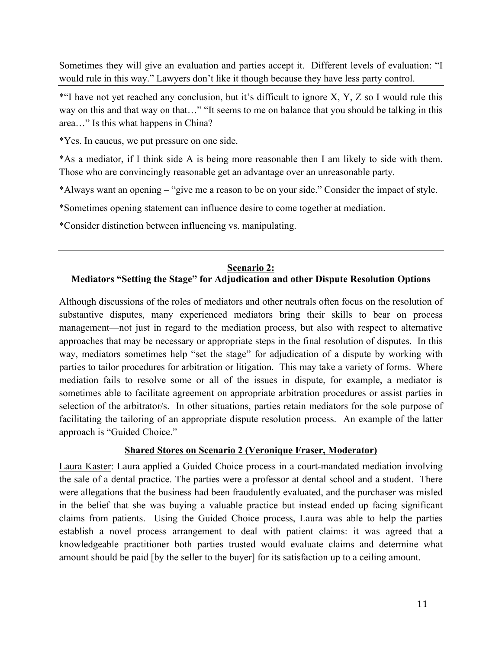Sometimes they will give an evaluation and parties accept it. Different levels of evaluation: "I would rule in this way." Lawyers don't like it though because they have less party control.

\*"I have not yet reached any conclusion, but it's difficult to ignore X, Y, Z so I would rule this way on this and that way on that…" "It seems to me on balance that you should be talking in this area…" Is this what happens in China?

\*Yes. In caucus, we put pressure on one side.

\*As a mediator, if I think side A is being more reasonable then I am likely to side with them. Those who are convincingly reasonable get an advantage over an unreasonable party.

\*Always want an opening – "give me a reason to be on your side." Consider the impact of style.

\*Sometimes opening statement can influence desire to come together at mediation.

\*Consider distinction between influencing vs. manipulating.

#### **Scenario 2: Mediators "Setting the Stage" for Adjudication and other Dispute Resolution Options**

Although discussions of the roles of mediators and other neutrals often focus on the resolution of substantive disputes, many experienced mediators bring their skills to bear on process management—not just in regard to the mediation process, but also with respect to alternative approaches that may be necessary or appropriate steps in the final resolution of disputes. In this way, mediators sometimes help "set the stage" for adjudication of a dispute by working with parties to tailor procedures for arbitration or litigation. This may take a variety of forms. Where mediation fails to resolve some or all of the issues in dispute, for example, a mediator is sometimes able to facilitate agreement on appropriate arbitration procedures or assist parties in selection of the arbitrator/s. In other situations, parties retain mediators for the sole purpose of facilitating the tailoring of an appropriate dispute resolution process. An example of the latter approach is "Guided Choice."

## **Shared Stores on Scenario 2 (Veronique Fraser, Moderator)**

Laura Kaster: Laura applied a Guided Choice process in a court-mandated mediation involving the sale of a dental practice. The parties were a professor at dental school and a student. There were allegations that the business had been fraudulently evaluated, and the purchaser was misled in the belief that she was buying a valuable practice but instead ended up facing significant claims from patients. Using the Guided Choice process, Laura was able to help the parties establish a novel process arrangement to deal with patient claims: it was agreed that a knowledgeable practitioner both parties trusted would evaluate claims and determine what amount should be paid [by the seller to the buyer] for its satisfaction up to a ceiling amount.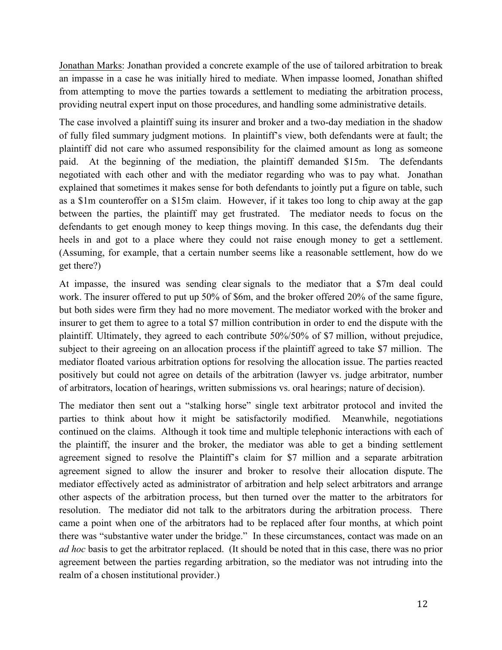Jonathan Marks: Jonathan provided a concrete example of the use of tailored arbitration to break an impasse in a case he was initially hired to mediate. When impasse loomed, Jonathan shifted from attempting to move the parties towards a settlement to mediating the arbitration process, providing neutral expert input on those procedures, and handling some administrative details.

The case involved a plaintiff suing its insurer and broker and a two-day mediation in the shadow of fully filed summary judgment motions. In plaintiff's view, both defendants were at fault; the plaintiff did not care who assumed responsibility for the claimed amount as long as someone paid. At the beginning of the mediation, the plaintiff demanded \$15m. The defendants negotiated with each other and with the mediator regarding who was to pay what. Jonathan explained that sometimes it makes sense for both defendants to jointly put a figure on table, such as a \$1m counteroffer on a \$15m claim. However, if it takes too long to chip away at the gap between the parties, the plaintiff may get frustrated. The mediator needs to focus on the defendants to get enough money to keep things moving. In this case, the defendants dug their heels in and got to a place where they could not raise enough money to get a settlement. (Assuming, for example, that a certain number seems like a reasonable settlement, how do we get there?)

At impasse, the insured was sending clear signals to the mediator that a \$7m deal could work. The insurer offered to put up 50% of \$6m, and the broker offered 20% of the same figure, but both sides were firm they had no more movement. The mediator worked with the broker and insurer to get them to agree to a total \$7 million contribution in order to end the dispute with the plaintiff. Ultimately, they agreed to each contribute 50%/50% of \$7 million, without prejudice, subject to their agreeing on an allocation process if the plaintiff agreed to take \$7 million. The mediator floated various arbitration options for resolving the allocation issue. The parties reacted positively but could not agree on details of the arbitration (lawyer vs. judge arbitrator, number of arbitrators, location of hearings, written submissions vs. oral hearings; nature of decision).

The mediator then sent out a "stalking horse" single text arbitrator protocol and invited the parties to think about how it might be satisfactorily modified. Meanwhile, negotiations continued on the claims. Although it took time and multiple telephonic interactions with each of the plaintiff, the insurer and the broker, the mediator was able to get a binding settlement agreement signed to resolve the Plaintiff's claim for \$7 million and a separate arbitration agreement signed to allow the insurer and broker to resolve their allocation dispute. The mediator effectively acted as administrator of arbitration and help select arbitrators and arrange other aspects of the arbitration process, but then turned over the matter to the arbitrators for resolution. The mediator did not talk to the arbitrators during the arbitration process. There came a point when one of the arbitrators had to be replaced after four months, at which point there was "substantive water under the bridge." In these circumstances, contact was made on an *ad hoc* basis to get the arbitrator replaced. (It should be noted that in this case, there was no prior agreement between the parties regarding arbitration, so the mediator was not intruding into the realm of a chosen institutional provider.)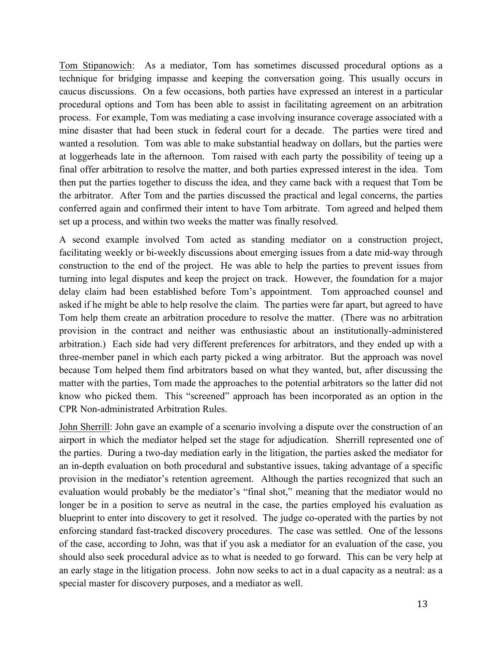Tom Stipanowich: As a mediator, Tom has sometimes discussed procedural options as a technique for bridging impasse and keeping the conversation going. This usually occurs in caucus discussions. On a few occasions, both parties have expressed an interest in a particular procedural options and Tom has been able to assist in facilitating agreement on an arbitration process. For example, Tom was mediating a case involving insurance coverage associated with a mine disaster that had been stuck in federal court for a decade. The parties were tired and wanted a resolution. Tom was able to make substantial headway on dollars, but the parties were at loggerheads late in the afternoon. Tom raised with each party the possibility of teeing up a final offer arbitration to resolve the matter, and both parties expressed interest in the idea. Tom then put the parties together to discuss the idea, and they came back with a request that Tom be the arbitrator. After Tom and the parties discussed the practical and legal concerns, the parties conferred again and confirmed their intent to have Tom arbitrate. Tom agreed and helped them set up a process, and within two weeks the matter was finally resolved.

A second example involved Tom acted as standing mediator on a construction project, facilitating weekly or bi-weekly discussions about emerging issues from a date mid-way through construction to the end of the project. He was able to help the parties to prevent issues from turning into legal disputes and keep the project on track. However, the foundation for a major delay claim had been established before Tom's appointment. Tom approached counsel and asked if he might be able to help resolve the claim. The parties were far apart, but agreed to have Tom help them create an arbitration procedure to resolve the matter. (There was no arbitration provision in the contract and neither was enthusiastic about an institutionally-administered arbitration.) Each side had very different preferences for arbitrators, and they ended up with a three-member panel in which each party picked a wing arbitrator. But the approach was novel because Tom helped them find arbitrators based on what they wanted, but, after discussing the matter with the parties, Tom made the approaches to the potential arbitrators so the latter did not know who picked them. This "screened" approach has been incorporated as an option in the CPR Non-administrated Arbitration Rules.

John Sherrill: John gave an example of a scenario involving a dispute over the construction of an airport in which the mediator helped set the stage for adjudication. Sherrill represented one of the parties. During a two-day mediation early in the litigation, the parties asked the mediator for an in-depth evaluation on both procedural and substantive issues, taking advantage of a specific provision in the mediator's retention agreement. Although the parties recognized that such an evaluation would probably be the mediator's "final shot," meaning that the mediator would no longer be in a position to serve as neutral in the case, the parties employed his evaluation as blueprint to enter into discovery to get it resolved. The judge co-operated with the parties by not enforcing standard fast-tracked discovery procedures. The case was settled. One of the lessons of the case, according to John, was that if you ask a mediator for an evaluation of the case, you should also seek procedural advice as to what is needed to go forward. This can be very help at an early stage in the litigation process. John now seeks to act in a dual capacity as a neutral: as a special master for discovery purposes, and a mediator as well.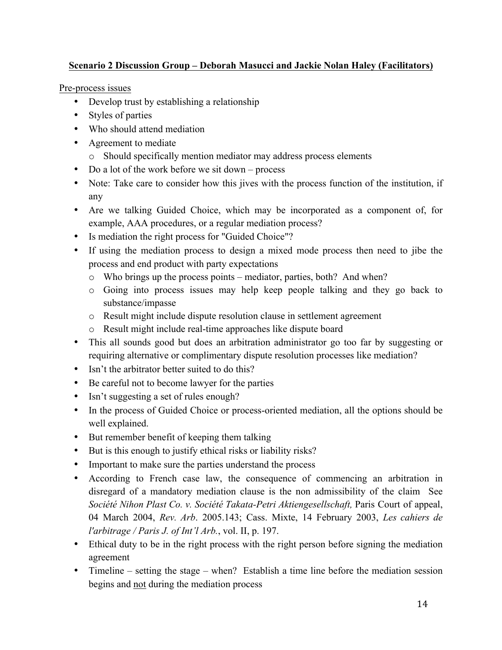## **Scenario 2 Discussion Group – Deborah Masucci and Jackie Nolan Haley (Facilitators)**

Pre-process issues

- Develop trust by establishing a relationship
- Styles of parties
- Who should attend mediation
- Agreement to mediate
	- o Should specifically mention mediator may address process elements
- Do a lot of the work before we sit down process
- Note: Take care to consider how this jives with the process function of the institution, if any
- Are we talking Guided Choice, which may be incorporated as a component of, for example, AAA procedures, or a regular mediation process?
- Is mediation the right process for "Guided Choice"?
- If using the mediation process to design a mixed mode process then need to jibe the process and end product with party expectations
	- o Who brings up the process points mediator, parties, both? And when?
	- o Going into process issues may help keep people talking and they go back to substance/impasse
	- o Result might include dispute resolution clause in settlement agreement
	- o Result might include real-time approaches like dispute board
- This all sounds good but does an arbitration administrator go too far by suggesting or requiring alternative or complimentary dispute resolution processes like mediation?
- Isn't the arbitrator better suited to do this?
- Be careful not to become lawyer for the parties
- Isn't suggesting a set of rules enough?
- In the process of Guided Choice or process-oriented mediation, all the options should be well explained.
- But remember benefit of keeping them talking
- But is this enough to justify ethical risks or liability risks?
- Important to make sure the parties understand the process
- According to French case law, the consequence of commencing an arbitration in disregard of a mandatory mediation clause is the non admissibility of the claim See Société Nihon Plast Co. v. Société Takata-Petri Aktiengesellschaft, Paris Court of appeal, 04 March 2004, *Rev. Arb*. 2005.143; Cass. Mixte, 14 February 2003, *Les cahiers de l'arbitrage / Paris J. of Int'l Arb.*, vol. II, p. 197.
- Ethical duty to be in the right process with the right person before signing the mediation agreement
- Timeline setting the stage when? Establish a time line before the mediation session begins and not during the mediation process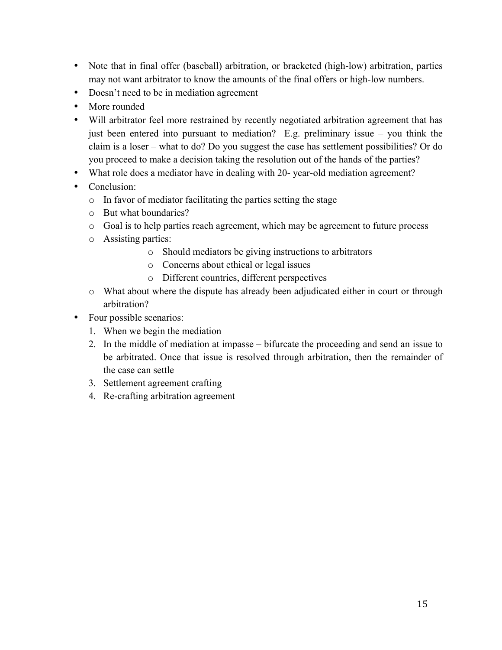- Note that in final offer (baseball) arbitration, or bracketed (high-low) arbitration, parties may not want arbitrator to know the amounts of the final offers or high-low numbers.
- Doesn't need to be in mediation agreement
- More rounded
- Will arbitrator feel more restrained by recently negotiated arbitration agreement that has just been entered into pursuant to mediation? E.g. preliminary issue – you think the claim is a loser – what to do? Do you suggest the case has settlement possibilities? Or do you proceed to make a decision taking the resolution out of the hands of the parties?
- What role does a mediator have in dealing with 20- year-old mediation agreement?
- Conclusion:
	- o In favor of mediator facilitating the parties setting the stage
	- o But what boundaries?
	- o Goal is to help parties reach agreement, which may be agreement to future process
	- o Assisting parties:
		- o Should mediators be giving instructions to arbitrators
		- o Concerns about ethical or legal issues
		- o Different countries, different perspectives
	- o What about where the dispute has already been adjudicated either in court or through arbitration?
- Four possible scenarios:
	- 1. When we begin the mediation
	- 2. In the middle of mediation at impasse bifurcate the proceeding and send an issue to be arbitrated. Once that issue is resolved through arbitration, then the remainder of the case can settle
	- 3. Settlement agreement crafting
	- 4. Re-crafting arbitration agreement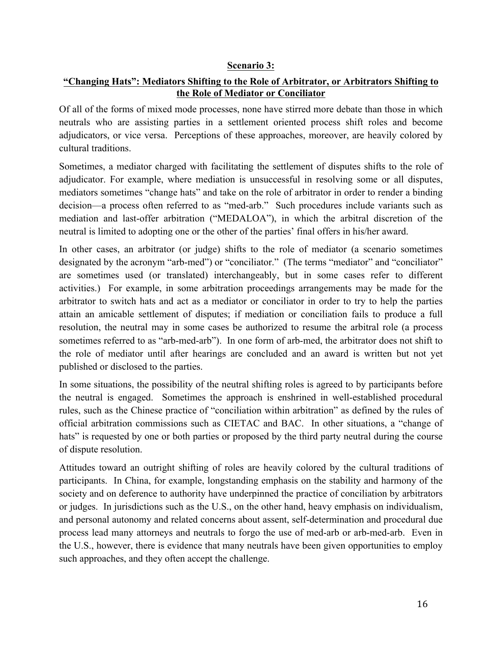#### **Scenario 3:**

#### **"Changing Hats": Mediators Shifting to the Role of Arbitrator, or Arbitrators Shifting to the Role of Mediator or Conciliator**

Of all of the forms of mixed mode processes, none have stirred more debate than those in which neutrals who are assisting parties in a settlement oriented process shift roles and become adjudicators, or vice versa. Perceptions of these approaches, moreover, are heavily colored by cultural traditions.

Sometimes, a mediator charged with facilitating the settlement of disputes shifts to the role of adjudicator. For example, where mediation is unsuccessful in resolving some or all disputes, mediators sometimes "change hats" and take on the role of arbitrator in order to render a binding decision—a process often referred to as "med-arb." Such procedures include variants such as mediation and last-offer arbitration ("MEDALOA"), in which the arbitral discretion of the neutral is limited to adopting one or the other of the parties' final offers in his/her award.

In other cases, an arbitrator (or judge) shifts to the role of mediator (a scenario sometimes designated by the acronym "arb-med") or "conciliator." (The terms "mediator" and "conciliator" are sometimes used (or translated) interchangeably, but in some cases refer to different activities.)For example, in some arbitration proceedings arrangements may be made for the arbitrator to switch hats and act as a mediator or conciliator in order to try to help the parties attain an amicable settlement of disputes; if mediation or conciliation fails to produce a full resolution, the neutral may in some cases be authorized to resume the arbitral role (a process sometimes referred to as "arb-med-arb"). In one form of arb-med, the arbitrator does not shift to the role of mediator until after hearings are concluded and an award is written but not yet published or disclosed to the parties.

In some situations, the possibility of the neutral shifting roles is agreed to by participants before the neutral is engaged. Sometimes the approach is enshrined in well-established procedural rules, such as the Chinese practice of "conciliation within arbitration" as defined by the rules of official arbitration commissions such as CIETAC and BAC. In other situations, a "change of hats" is requested by one or both parties or proposed by the third party neutral during the course of dispute resolution.

Attitudes toward an outright shifting of roles are heavily colored by the cultural traditions of participants. In China, for example, longstanding emphasis on the stability and harmony of the society and on deference to authority have underpinned the practice of conciliation by arbitrators or judges. In jurisdictions such as the U.S., on the other hand, heavy emphasis on individualism, and personal autonomy and related concerns about assent, self-determination and procedural due process lead many attorneys and neutrals to forgo the use of med-arb or arb-med-arb. Even in the U.S., however, there is evidence that many neutrals have been given opportunities to employ such approaches, and they often accept the challenge.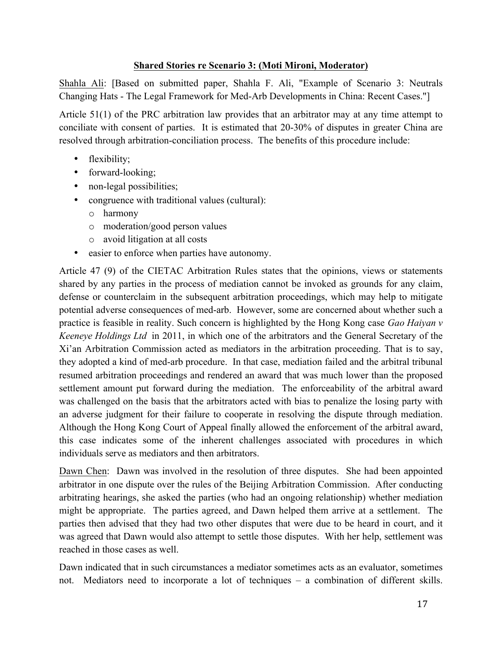#### **Shared Stories re Scenario 3: (Moti Mironi, Moderator)**

Shahla Ali: [Based on submitted paper, Shahla F. Ali, "Example of Scenario 3: Neutrals Changing Hats - The Legal Framework for Med-Arb Developments in China: Recent Cases."]

Article 51(1) of the PRC arbitration law provides that an arbitrator may at any time attempt to conciliate with consent of parties. It is estimated that 20-30% of disputes in greater China are resolved through arbitration-conciliation process. The benefits of this procedure include:

- flexibility;
- forward-looking;
- non-legal possibilities;
- congruence with traditional values (cultural):
	- o harmony
	- o moderation/good person values
	- o avoid litigation at all costs
- easier to enforce when parties have autonomy.

Article 47 (9) of the CIETAC Arbitration Rules states that the opinions, views or statements shared by any parties in the process of mediation cannot be invoked as grounds for any claim, defense or counterclaim in the subsequent arbitration proceedings, which may help to mitigate potential adverse consequences of med-arb. However, some are concerned about whether such a practice is feasible in reality. Such concern is highlighted by the Hong Kong case *Gao Haiyan v Keeneye Holdings Ltd* in 2011, in which one of the arbitrators and the General Secretary of the Xi'an Arbitration Commission acted as mediators in the arbitration proceeding. That is to say, they adopted a kind of med-arb procedure. In that case, mediation failed and the arbitral tribunal resumed arbitration proceedings and rendered an award that was much lower than the proposed settlement amount put forward during the mediation. The enforceability of the arbitral award was challenged on the basis that the arbitrators acted with bias to penalize the losing party with an adverse judgment for their failure to cooperate in resolving the dispute through mediation. Although the Hong Kong Court of Appeal finally allowed the enforcement of the arbitral award, this case indicates some of the inherent challenges associated with procedures in which individuals serve as mediators and then arbitrators.

Dawn Chen: Dawn was involved in the resolution of three disputes. She had been appointed arbitrator in one dispute over the rules of the Beijing Arbitration Commission. After conducting arbitrating hearings, she asked the parties (who had an ongoing relationship) whether mediation might be appropriate. The parties agreed, and Dawn helped them arrive at a settlement. The parties then advised that they had two other disputes that were due to be heard in court, and it was agreed that Dawn would also attempt to settle those disputes. With her help, settlement was reached in those cases as well.

Dawn indicated that in such circumstances a mediator sometimes acts as an evaluator, sometimes not. Mediators need to incorporate a lot of techniques – a combination of different skills.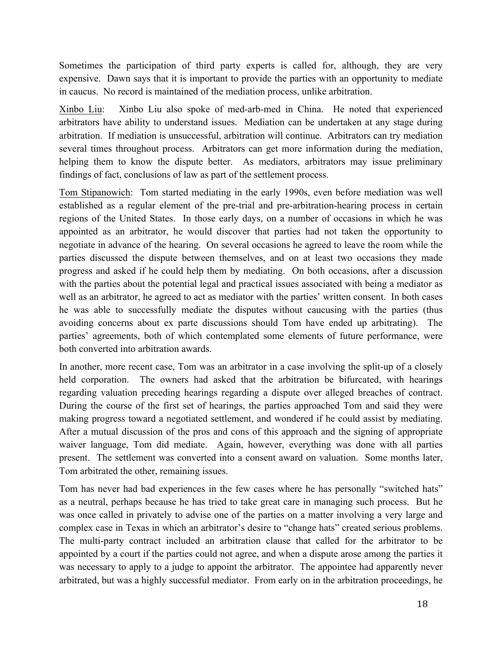Sometimes the participation of third party experts is called for, although, they are very expensive. Dawn says that it is important to provide the parties with an opportunity to mediate in caucus. No record is maintained of the mediation process, unlike arbitration.

Xinbo Liu: Xinbo Liu also spoke of med-arb-med in China. He noted that experienced arbitrators have ability to understand issues. Mediation can be undertaken at any stage during arbitration. If mediation is unsuccessful, arbitration will continue. Arbitrators can try mediation several times throughout process. Arbitrators can get more information during the mediation, helping them to know the dispute better. As mediators, arbitrators may issue preliminary findings of fact, conclusions of law as part of the settlement process.

Tom Stipanowich: Tom started mediating in the early 1990s, even before mediation was well established as a regular element of the pre-trial and pre-arbitration-hearing process in certain regions of the United States. In those early days, on a number of occasions in which he was appointed as an arbitrator, he would discover that parties had not taken the opportunity to negotiate in advance of the hearing. On several occasions he agreed to leave the room while the parties discussed the dispute between themselves, and on at least two occasions they made progress and asked if he could help them by mediating. On both occasions, after a discussion with the parties about the potential legal and practical issues associated with being a mediator as well as an arbitrator, he agreed to act as mediator with the parties' written consent. In both cases he was able to successfully mediate the disputes without caucusing with the parties (thus avoiding concerns about ex parte discussions should Tom have ended up arbitrating). The parties' agreements, both of which contemplated some elements of future performance, were both converted into arbitration awards.

In another, more recent case, Tom was an arbitrator in a case involving the split-up of a closely held corporation. The owners had asked that the arbitration be bifurcated, with hearings regarding valuation preceding hearings regarding a dispute over alleged breaches of contract. During the course of the first set of hearings, the parties approached Tom and said they were making progress toward a negotiated settlement, and wondered if he could assist by mediating. After a mutual discussion of the pros and cons of this approach and the signing of appropriate waiver language, Tom did mediate. Again, however, everything was done with all parties present. The settlement was converted into a consent award on valuation. Some months later, Tom arbitrated the other, remaining issues.

Tom has never had bad experiences in the few cases where he has personally "switched hats" as a neutral, perhaps because he has tried to take great care in managing such process. But he was once called in privately to advise one of the parties on a matter involving a very large and complex case in Texas in which an arbitrator's desire to "change hats" created serious problems. The multi-party contract included an arbitration clause that called for the arbitrator to be appointed by a court if the parties could not agree, and when a dispute arose among the parties it was necessary to apply to a judge to appoint the arbitrator. The appointee had apparently never arbitrated, but was a highly successful mediator. From early on in the arbitration proceedings, he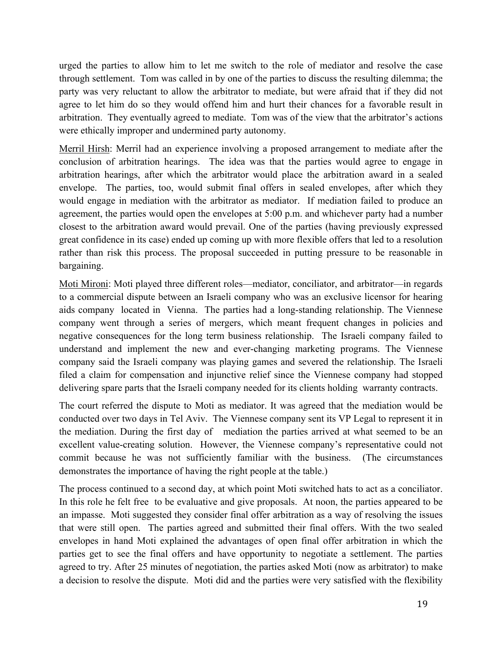urged the parties to allow him to let me switch to the role of mediator and resolve the case through settlement. Tom was called in by one of the parties to discuss the resulting dilemma; the party was very reluctant to allow the arbitrator to mediate, but were afraid that if they did not agree to let him do so they would offend him and hurt their chances for a favorable result in arbitration. They eventually agreed to mediate. Tom was of the view that the arbitrator's actions were ethically improper and undermined party autonomy.

Merril Hirsh: Merril had an experience involving a proposed arrangement to mediate after the conclusion of arbitration hearings. The idea was that the parties would agree to engage in arbitration hearings, after which the arbitrator would place the arbitration award in a sealed envelope. The parties, too, would submit final offers in sealed envelopes, after which they would engage in mediation with the arbitrator as mediator. If mediation failed to produce an agreement, the parties would open the envelopes at 5:00 p.m. and whichever party had a number closest to the arbitration award would prevail. One of the parties (having previously expressed great confidence in its case) ended up coming up with more flexible offers that led to a resolution rather than risk this process. The proposal succeeded in putting pressure to be reasonable in bargaining.

Moti Mironi: Moti played three different roles—mediator, conciliator, and arbitrator—in regards to a commercial dispute between an Israeli company who was an exclusive licensor for hearing aids company located in Vienna. The parties had a long-standing relationship. The Viennese company went through a series of mergers, which meant frequent changes in policies and negative consequences for the long term business relationship. The Israeli company failed to understand and implement the new and ever-changing marketing programs. The Viennese company said the Israeli company was playing games and severed the relationship. The Israeli filed a claim for compensation and injunctive relief since the Viennese company had stopped delivering spare parts that the Israeli company needed for its clients holding warranty contracts.

The court referred the dispute to Moti as mediator. It was agreed that the mediation would be conducted over two days in Tel Aviv. The Viennese company sent its VP Legal to represent it in the mediation. During the first day of mediation the parties arrived at what seemed to be an excellent value-creating solution. However, the Viennese company's representative could not commit because he was not sufficiently familiar with the business. (The circumstances demonstrates the importance of having the right people at the table.)

The process continued to a second day, at which point Moti switched hats to act as a conciliator. In this role he felt free to be evaluative and give proposals. At noon, the parties appeared to be an impasse. Moti suggested they consider final offer arbitration as a way of resolving the issues that were still open. The parties agreed and submitted their final offers. With the two sealed envelopes in hand Moti explained the advantages of open final offer arbitration in which the parties get to see the final offers and have opportunity to negotiate a settlement. The parties agreed to try. After 25 minutes of negotiation, the parties asked Moti (now as arbitrator) to make a decision to resolve the dispute. Moti did and the parties were very satisfied with the flexibility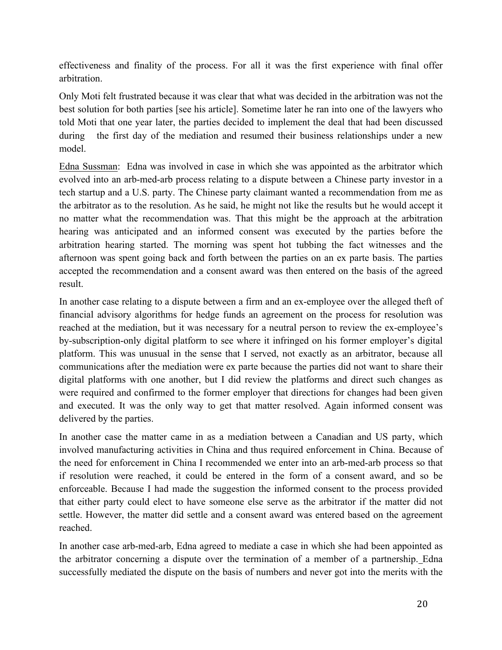effectiveness and finality of the process. For all it was the first experience with final offer arbitration.

Only Moti felt frustrated because it was clear that what was decided in the arbitration was not the best solution for both parties [see his article]. Sometime later he ran into one of the lawyers who told Moti that one year later, the parties decided to implement the deal that had been discussed during the first day of the mediation and resumed their business relationships under a new model.

Edna Sussman: Edna was involved in case in which she was appointed as the arbitrator which evolved into an arb-med-arb process relating to a dispute between a Chinese party investor in a tech startup and a U.S. party. The Chinese party claimant wanted a recommendation from me as the arbitrator as to the resolution. As he said, he might not like the results but he would accept it no matter what the recommendation was. That this might be the approach at the arbitration hearing was anticipated and an informed consent was executed by the parties before the arbitration hearing started. The morning was spent hot tubbing the fact witnesses and the afternoon was spent going back and forth between the parties on an ex parte basis. The parties accepted the recommendation and a consent award was then entered on the basis of the agreed result.

In another case relating to a dispute between a firm and an ex-employee over the alleged theft of financial advisory algorithms for hedge funds an agreement on the process for resolution was reached at the mediation, but it was necessary for a neutral person to review the ex-employee's by-subscription-only digital platform to see where it infringed on his former employer's digital platform. This was unusual in the sense that I served, not exactly as an arbitrator, because all communications after the mediation were ex parte because the parties did not want to share their digital platforms with one another, but I did review the platforms and direct such changes as were required and confirmed to the former employer that directions for changes had been given and executed. It was the only way to get that matter resolved. Again informed consent was delivered by the parties.

In another case the matter came in as a mediation between a Canadian and US party, which involved manufacturing activities in China and thus required enforcement in China. Because of the need for enforcement in China I recommended we enter into an arb-med-arb process so that if resolution were reached, it could be entered in the form of a consent award, and so be enforceable. Because I had made the suggestion the informed consent to the process provided that either party could elect to have someone else serve as the arbitrator if the matter did not settle. However, the matter did settle and a consent award was entered based on the agreement reached.

In another case arb-med-arb, Edna agreed to mediate a case in which she had been appointed as the arbitrator concerning a dispute over the termination of a member of a partnership. Edna successfully mediated the dispute on the basis of numbers and never got into the merits with the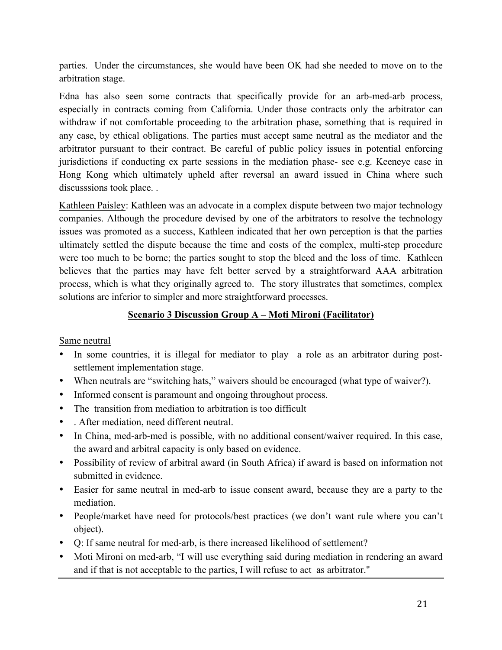parties. Under the circumstances, she would have been OK had she needed to move on to the arbitration stage.

Edna has also seen some contracts that specifically provide for an arb-med-arb process, especially in contracts coming from California. Under those contracts only the arbitrator can withdraw if not comfortable proceeding to the arbitration phase, something that is required in any case, by ethical obligations. The parties must accept same neutral as the mediator and the arbitrator pursuant to their contract. Be careful of public policy issues in potential enforcing jurisdictions if conducting ex parte sessions in the mediation phase- see e.g. Keeneye case in Hong Kong which ultimately upheld after reversal an award issued in China where such discusssions took place. .

Kathleen Paisley: Kathleen was an advocate in a complex dispute between two major technology companies. Although the procedure devised by one of the arbitrators to resolve the technology issues was promoted as a success, Kathleen indicated that her own perception is that the parties ultimately settled the dispute because the time and costs of the complex, multi-step procedure were too much to be borne; the parties sought to stop the bleed and the loss of time. Kathleen believes that the parties may have felt better served by a straightforward AAA arbitration process, which is what they originally agreed to. The story illustrates that sometimes, complex solutions are inferior to simpler and more straightforward processes.

## **Scenario 3 Discussion Group A – Moti Mironi (Facilitator)**

#### Same neutral

- In some countries, it is illegal for mediator to play a role as an arbitrator during postsettlement implementation stage.
- When neutrals are "switching hats," waivers should be encouraged (what type of waiver?).
- Informed consent is paramount and ongoing throughout process.
- The transition from mediation to arbitration is too difficult
- . After mediation, need different neutral.
- In China, med-arb-med is possible, with no additional consent/waiver required. In this case, the award and arbitral capacity is only based on evidence.
- Possibility of review of arbitral award (in South Africa) if award is based on information not submitted in evidence.
- Easier for same neutral in med-arb to issue consent award, because they are a party to the mediation.
- People/market have need for protocols/best practices (we don't want rule where you can't object).
- Q: If same neutral for med-arb, is there increased likelihood of settlement?
- Moti Mironi on med-arb, "I will use everything said during mediation in rendering an award and if that is not acceptable to the parties, I will refuse to act as arbitrator."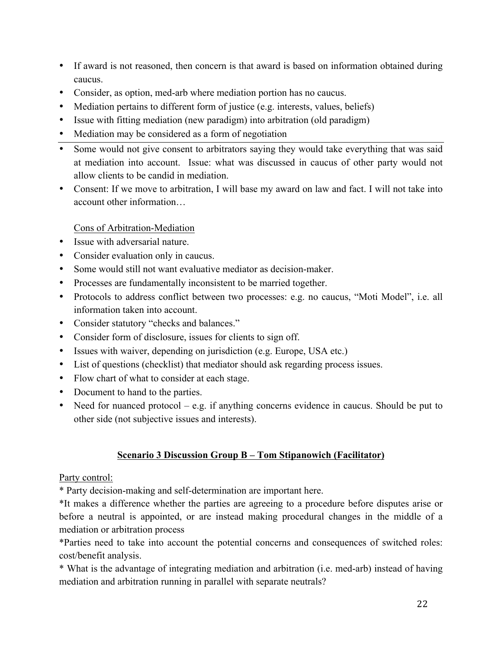- If award is not reasoned, then concern is that award is based on information obtained during caucus.
- Consider, as option, med-arb where mediation portion has no caucus.
- Mediation pertains to different form of justice (e.g. interests, values, beliefs)
- Issue with fitting mediation (new paradigm) into arbitration (old paradigm)
- Mediation may be considered as a form of negotiation
- Some would not give consent to arbitrators saying they would take everything that was said at mediation into account. Issue: what was discussed in caucus of other party would not allow clients to be candid in mediation.
- Consent: If we move to arbitration, I will base my award on law and fact. I will not take into account other information…

Cons of Arbitration-Mediation

- Issue with adversarial nature.
- Consider evaluation only in caucus.
- Some would still not want evaluative mediator as decision-maker.
- Processes are fundamentally inconsistent to be married together.
- Protocols to address conflict between two processes: e.g. no caucus, "Moti Model", i.e. all information taken into account.
- Consider statutory "checks and balances."
- Consider form of disclosure, issues for clients to sign off.
- Issues with waiver, depending on jurisdiction (e.g. Europe, USA etc.)
- List of questions (checklist) that mediator should ask regarding process issues.
- Flow chart of what to consider at each stage.
- Document to hand to the parties.
- Need for nuanced protocol e.g. if anything concerns evidence in caucus. Should be put to other side (not subjective issues and interests).

#### **Scenario 3 Discussion Group B – Tom Stipanowich (Facilitator)**

#### Party control:

\* Party decision-making and self-determination are important here.

\*It makes a difference whether the parties are agreeing to a procedure before disputes arise or before a neutral is appointed, or are instead making procedural changes in the middle of a mediation or arbitration process

\*Parties need to take into account the potential concerns and consequences of switched roles: cost/benefit analysis.

\* What is the advantage of integrating mediation and arbitration (i.e. med-arb) instead of having mediation and arbitration running in parallel with separate neutrals?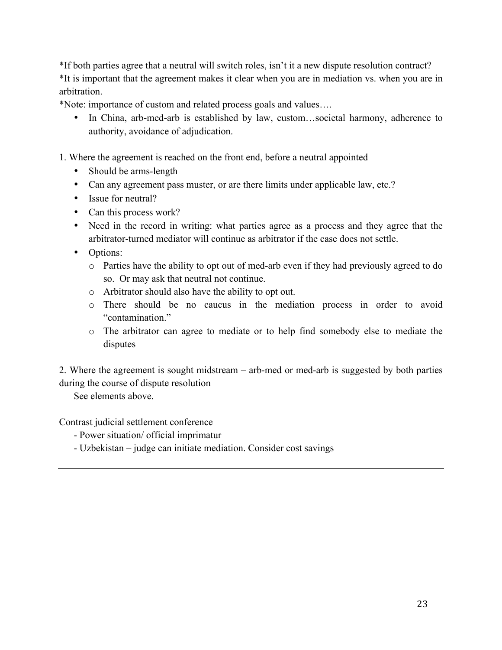\*If both parties agree that a neutral will switch roles, isn't it a new dispute resolution contract? \*It is important that the agreement makes it clear when you are in mediation vs. when you are in arbitration.

\*Note: importance of custom and related process goals and values….

• In China, arb-med-arb is established by law, custom...societal harmony, adherence to authority, avoidance of adjudication.

1. Where the agreement is reached on the front end, before a neutral appointed

- Should be arms-length
- Can any agreement pass muster, or are there limits under applicable law, etc.?
- Issue for neutral?
- Can this process work?
- Need in the record in writing: what parties agree as a process and they agree that the arbitrator-turned mediator will continue as arbitrator if the case does not settle.
- Options:
	- o Parties have the ability to opt out of med-arb even if they had previously agreed to do so. Or may ask that neutral not continue.
	- o Arbitrator should also have the ability to opt out.
	- o There should be no caucus in the mediation process in order to avoid "contamination."
	- o The arbitrator can agree to mediate or to help find somebody else to mediate the disputes

2. Where the agreement is sought midstream – arb-med or med-arb is suggested by both parties during the course of dispute resolution

See elements above.

Contrast judicial settlement conference

- Power situation/ official imprimatur
- Uzbekistan judge can initiate mediation. Consider cost savings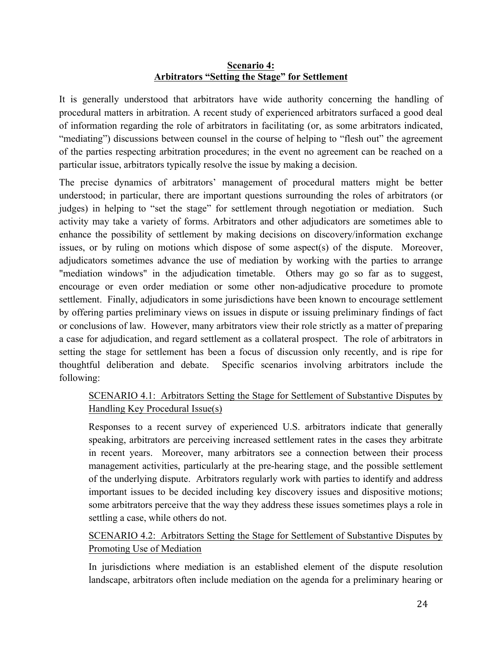#### **Scenario 4: Arbitrators "Setting the Stage" for Settlement**

It is generally understood that arbitrators have wide authority concerning the handling of procedural matters in arbitration. A recent study of experienced arbitrators surfaced a good deal of information regarding the role of arbitrators in facilitating (or, as some arbitrators indicated, "mediating") discussions between counsel in the course of helping to "flesh out" the agreement of the parties respecting arbitration procedures; in the event no agreement can be reached on a particular issue, arbitrators typically resolve the issue by making a decision.

The precise dynamics of arbitrators' management of procedural matters might be better understood; in particular, there are important questions surrounding the roles of arbitrators (or judges) in helping to "set the stage" for settlement through negotiation or mediation. Such activity may take a variety of forms. Arbitrators and other adjudicators are sometimes able to enhance the possibility of settlement by making decisions on discovery/information exchange issues, or by ruling on motions which dispose of some aspect(s) of the dispute. Moreover, adjudicators sometimes advance the use of mediation by working with the parties to arrange "mediation windows" in the adjudication timetable. Others may go so far as to suggest, encourage or even order mediation or some other non-adjudicative procedure to promote settlement. Finally, adjudicators in some jurisdictions have been known to encourage settlement by offering parties preliminary views on issues in dispute or issuing preliminary findings of fact or conclusions of law. However, many arbitrators view their role strictly as a matter of preparing a case for adjudication, and regard settlement as a collateral prospect. The role of arbitrators in setting the stage for settlement has been a focus of discussion only recently, and is ripe for thoughtful deliberation and debate. Specific scenarios involving arbitrators include the following:

## SCENARIO 4.1: Arbitrators Setting the Stage for Settlement of Substantive Disputes by Handling Key Procedural Issue(s)

Responses to a recent survey of experienced U.S. arbitrators indicate that generally speaking, arbitrators are perceiving increased settlement rates in the cases they arbitrate in recent years. Moreover, many arbitrators see a connection between their process management activities, particularly at the pre-hearing stage, and the possible settlement of the underlying dispute. Arbitrators regularly work with parties to identify and address important issues to be decided including key discovery issues and dispositive motions; some arbitrators perceive that the way they address these issues sometimes plays a role in settling a case, while others do not.

SCENARIO 4.2: Arbitrators Setting the Stage for Settlement of Substantive Disputes by Promoting Use of Mediation

In jurisdictions where mediation is an established element of the dispute resolution landscape, arbitrators often include mediation on the agenda for a preliminary hearing or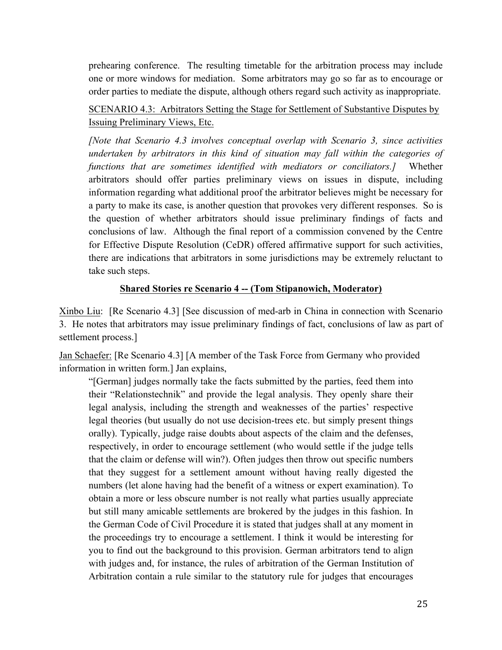prehearing conference. The resulting timetable for the arbitration process may include one or more windows for mediation. Some arbitrators may go so far as to encourage or order parties to mediate the dispute, although others regard such activity as inappropriate.

## SCENARIO 4.3: Arbitrators Setting the Stage for Settlement of Substantive Disputes by Issuing Preliminary Views, Etc.

*[Note that Scenario 4.3 involves conceptual overlap with Scenario 3, since activities undertaken by arbitrators in this kind of situation may fall within the categories of functions that are sometimes identified with mediators or conciliators.]* Whether arbitrators should offer parties preliminary views on issues in dispute, including information regarding what additional proof the arbitrator believes might be necessary for a party to make its case, is another question that provokes very different responses. So is the question of whether arbitrators should issue preliminary findings of facts and conclusions of law. Although the final report of a commission convened by the Centre for Effective Dispute Resolution (CeDR) offered affirmative support for such activities, there are indications that arbitrators in some jurisdictions may be extremely reluctant to take such steps.

#### **Shared Stories re Scenario 4 -- (Tom Stipanowich, Moderator)**

Xinbo Liu: [Re Scenario 4.3] [See discussion of med-arb in China in connection with Scenario 3. He notes that arbitrators may issue preliminary findings of fact, conclusions of law as part of settlement process.]

Jan Schaefer: [Re Scenario 4.3] [A member of the Task Force from Germany who provided information in written form.] Jan explains,

"[German] judges normally take the facts submitted by the parties, feed them into their "Relationstechnik" and provide the legal analysis. They openly share their legal analysis, including the strength and weaknesses of the parties' respective legal theories (but usually do not use decision-trees etc. but simply present things orally). Typically, judge raise doubts about aspects of the claim and the defenses, respectively, in order to encourage settlement (who would settle if the judge tells that the claim or defense will win?). Often judges then throw out specific numbers that they suggest for a settlement amount without having really digested the numbers (let alone having had the benefit of a witness or expert examination). To obtain a more or less obscure number is not really what parties usually appreciate but still many amicable settlements are brokered by the judges in this fashion. In the German Code of Civil Procedure it is stated that judges shall at any moment in the proceedings try to encourage a settlement. I think it would be interesting for you to find out the background to this provision. German arbitrators tend to align with judges and, for instance, the rules of arbitration of the German Institution of Arbitration contain a rule similar to the statutory rule for judges that encourages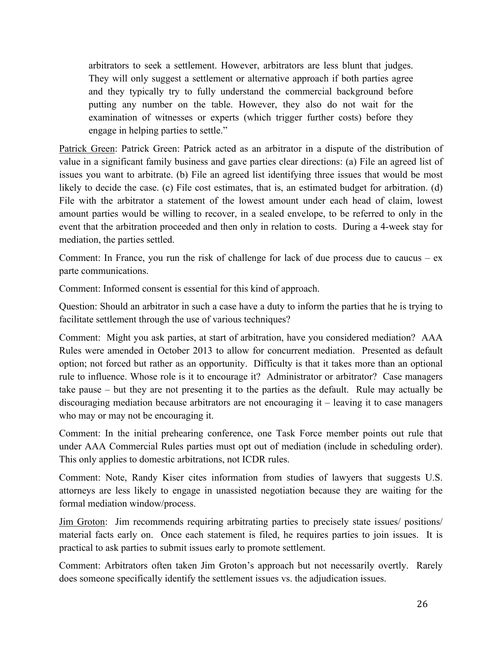arbitrators to seek a settlement. However, arbitrators are less blunt that judges. They will only suggest a settlement or alternative approach if both parties agree and they typically try to fully understand the commercial background before putting any number on the table. However, they also do not wait for the examination of witnesses or experts (which trigger further costs) before they engage in helping parties to settle."

Patrick Green: Patrick Green: Patrick acted as an arbitrator in a dispute of the distribution of value in a significant family business and gave parties clear directions: (a) File an agreed list of issues you want to arbitrate. (b) File an agreed list identifying three issues that would be most likely to decide the case. (c) File cost estimates, that is, an estimated budget for arbitration. (d) File with the arbitrator a statement of the lowest amount under each head of claim, lowest amount parties would be willing to recover, in a sealed envelope, to be referred to only in the event that the arbitration proceeded and then only in relation to costs. During a 4-week stay for mediation, the parties settled.

Comment: In France, you run the risk of challenge for lack of due process due to caucus –  $ex$ parte communications.

Comment: Informed consent is essential for this kind of approach.

Question: Should an arbitrator in such a case have a duty to inform the parties that he is trying to facilitate settlement through the use of various techniques?

Comment: Might you ask parties, at start of arbitration, have you considered mediation? AAA Rules were amended in October 2013 to allow for concurrent mediation. Presented as default option; not forced but rather as an opportunity. Difficulty is that it takes more than an optional rule to influence. Whose role is it to encourage it? Administrator or arbitrator? Case managers take pause – but they are not presenting it to the parties as the default. Rule may actually be discouraging mediation because arbitrators are not encouraging it – leaving it to case managers who may or may not be encouraging it.

Comment: In the initial prehearing conference, one Task Force member points out rule that under AAA Commercial Rules parties must opt out of mediation (include in scheduling order). This only applies to domestic arbitrations, not ICDR rules.

Comment: Note, Randy Kiser cites information from studies of lawyers that suggests U.S. attorneys are less likely to engage in unassisted negotiation because they are waiting for the formal mediation window/process.

Jim Groton: Jim recommends requiring arbitrating parties to precisely state issues/ positions/ material facts early on. Once each statement is filed, he requires parties to join issues. It is practical to ask parties to submit issues early to promote settlement.

Comment: Arbitrators often taken Jim Groton's approach but not necessarily overtly. Rarely does someone specifically identify the settlement issues vs. the adjudication issues.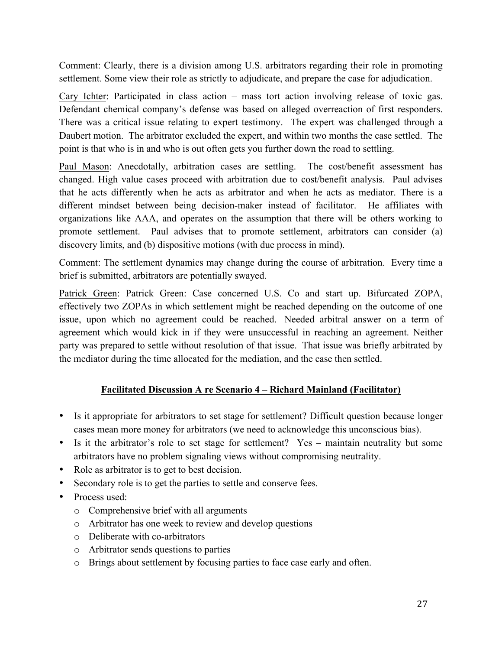Comment: Clearly, there is a division among U.S. arbitrators regarding their role in promoting settlement. Some view their role as strictly to adjudicate, and prepare the case for adjudication.

Cary Ichter: Participated in class action – mass tort action involving release of toxic gas. Defendant chemical company's defense was based on alleged overreaction of first responders. There was a critical issue relating to expert testimony. The expert was challenged through a Daubert motion. The arbitrator excluded the expert, and within two months the case settled. The point is that who is in and who is out often gets you further down the road to settling.

Paul Mason: Anecdotally, arbitration cases are settling. The cost/benefit assessment has changed. High value cases proceed with arbitration due to cost/benefit analysis. Paul advises that he acts differently when he acts as arbitrator and when he acts as mediator. There is a different mindset between being decision-maker instead of facilitator. He affiliates with organizations like AAA, and operates on the assumption that there will be others working to promote settlement. Paul advises that to promote settlement, arbitrators can consider (a) discovery limits, and (b) dispositive motions (with due process in mind).

Comment: The settlement dynamics may change during the course of arbitration. Every time a brief is submitted, arbitrators are potentially swayed.

Patrick Green: Patrick Green: Case concerned U.S. Co and start up. Bifurcated ZOPA, effectively two ZOPAs in which settlement might be reached depending on the outcome of one issue, upon which no agreement could be reached. Needed arbitral answer on a term of agreement which would kick in if they were unsuccessful in reaching an agreement. Neither party was prepared to settle without resolution of that issue. That issue was briefly arbitrated by the mediator during the time allocated for the mediation, and the case then settled.

## **Facilitated Discussion A re Scenario 4 – Richard Mainland (Facilitator)**

- Is it appropriate for arbitrators to set stage for settlement? Difficult question because longer cases mean more money for arbitrators (we need to acknowledge this unconscious bias).
- Is it the arbitrator's role to set stage for settlement? Yes maintain neutrality but some arbitrators have no problem signaling views without compromising neutrality.
- Role as arbitrator is to get to best decision.
- Secondary role is to get the parties to settle and conserve fees.
- Process used:
	- o Comprehensive brief with all arguments
	- o Arbitrator has one week to review and develop questions
	- o Deliberate with co-arbitrators
	- o Arbitrator sends questions to parties
	- o Brings about settlement by focusing parties to face case early and often.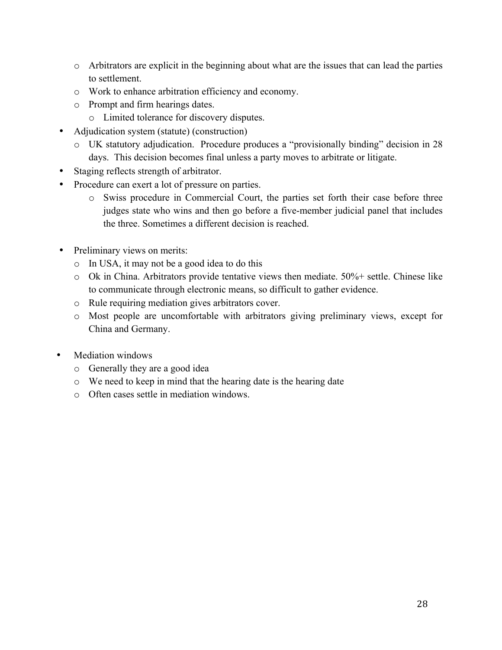- o Arbitrators are explicit in the beginning about what are the issues that can lead the parties to settlement.
- o Work to enhance arbitration efficiency and economy.
- o Prompt and firm hearings dates.
	- o Limited tolerance for discovery disputes.
- Adjudication system (statute) (construction)
	- o UK statutory adjudication. Procedure produces a "provisionally binding" decision in 28 days. This decision becomes final unless a party moves to arbitrate or litigate.
- Staging reflects strength of arbitrator.
- Procedure can exert a lot of pressure on parties.
	- o Swiss procedure in Commercial Court, the parties set forth their case before three judges state who wins and then go before a five-member judicial panel that includes the three. Sometimes a different decision is reached.
- Preliminary views on merits:
	- o In USA, it may not be a good idea to do this
	- o Ok in China. Arbitrators provide tentative views then mediate. 50%+ settle. Chinese like to communicate through electronic means, so difficult to gather evidence.
	- o Rule requiring mediation gives arbitrators cover.
	- o Most people are uncomfortable with arbitrators giving preliminary views, except for China and Germany.
- Mediation windows
	- o Generally they are a good idea
	- o We need to keep in mind that the hearing date is the hearing date
	- o Often cases settle in mediation windows.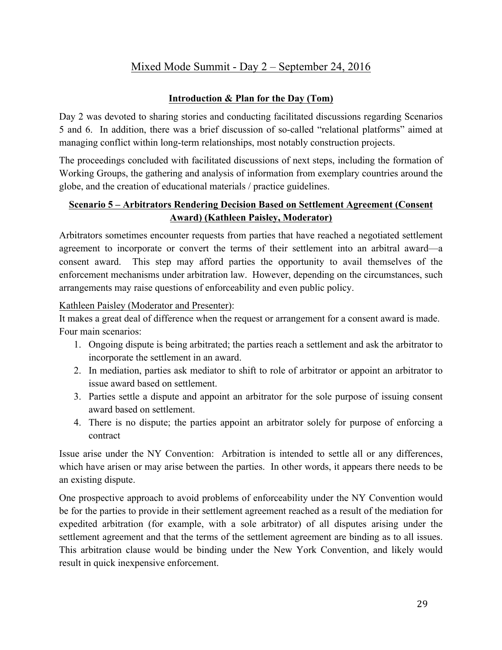# Mixed Mode Summit - Day 2 – September 24, 2016

#### **Introduction & Plan for the Day (Tom)**

Day 2 was devoted to sharing stories and conducting facilitated discussions regarding Scenarios 5 and 6. In addition, there was a brief discussion of so-called "relational platforms" aimed at managing conflict within long-term relationships, most notably construction projects.

The proceedings concluded with facilitated discussions of next steps, including the formation of Working Groups, the gathering and analysis of information from exemplary countries around the globe, and the creation of educational materials / practice guidelines.

#### **Scenario 5 – Arbitrators Rendering Decision Based on Settlement Agreement (Consent Award) (Kathleen Paisley, Moderator)**

Arbitrators sometimes encounter requests from parties that have reached a negotiated settlement agreement to incorporate or convert the terms of their settlement into an arbitral award—a consent award. This step may afford parties the opportunity to avail themselves of the enforcement mechanisms under arbitration law. However, depending on the circumstances, such arrangements may raise questions of enforceability and even public policy.

Kathleen Paisley (Moderator and Presenter):

It makes a great deal of difference when the request or arrangement for a consent award is made. Four main scenarios:

- 1. Ongoing dispute is being arbitrated; the parties reach a settlement and ask the arbitrator to incorporate the settlement in an award.
- 2. In mediation, parties ask mediator to shift to role of arbitrator or appoint an arbitrator to issue award based on settlement.
- 3. Parties settle a dispute and appoint an arbitrator for the sole purpose of issuing consent award based on settlement.
- 4. There is no dispute; the parties appoint an arbitrator solely for purpose of enforcing a contract

Issue arise under the NY Convention: Arbitration is intended to settle all or any differences, which have arisen or may arise between the parties. In other words, it appears there needs to be an existing dispute.

One prospective approach to avoid problems of enforceability under the NY Convention would be for the parties to provide in their settlement agreement reached as a result of the mediation for expedited arbitration (for example, with a sole arbitrator) of all disputes arising under the settlement agreement and that the terms of the settlement agreement are binding as to all issues. This arbitration clause would be binding under the New York Convention, and likely would result in quick inexpensive enforcement.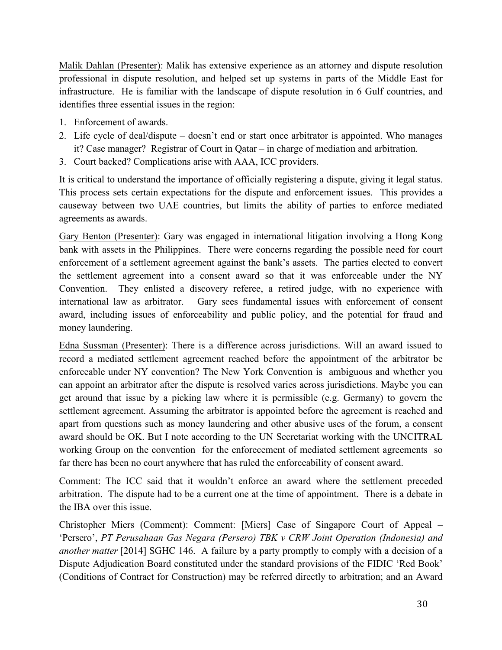Malik Dahlan (Presenter): Malik has extensive experience as an attorney and dispute resolution professional in dispute resolution, and helped set up systems in parts of the Middle East for infrastructure. He is familiar with the landscape of dispute resolution in 6 Gulf countries, and identifies three essential issues in the region:

- 1. Enforcement of awards.
- 2. Life cycle of deal/dispute doesn't end or start once arbitrator is appointed. Who manages it? Case manager? Registrar of Court in Qatar – in charge of mediation and arbitration.
- 3. Court backed? Complications arise with AAA, ICC providers.

It is critical to understand the importance of officially registering a dispute, giving it legal status. This process sets certain expectations for the dispute and enforcement issues. This provides a causeway between two UAE countries, but limits the ability of parties to enforce mediated agreements as awards.

Gary Benton (Presenter): Gary was engaged in international litigation involving a Hong Kong bank with assets in the Philippines. There were concerns regarding the possible need for court enforcement of a settlement agreement against the bank's assets. The parties elected to convert the settlement agreement into a consent award so that it was enforceable under the NY Convention. They enlisted a discovery referee, a retired judge, with no experience with international law as arbitrator. Gary sees fundamental issues with enforcement of consent award, including issues of enforceability and public policy, and the potential for fraud and money laundering.

Edna Sussman (Presenter): There is a difference across jurisdictions. Will an award issued to record a mediated settlement agreement reached before the appointment of the arbitrator be enforceable under NY convention? The New York Convention is ambiguous and whether you can appoint an arbitrator after the dispute is resolved varies across jurisdictions. Maybe you can get around that issue by a picking law where it is permissible (e.g. Germany) to govern the settlement agreement. Assuming the arbitrator is appointed before the agreement is reached and apart from questions such as money laundering and other abusive uses of the forum, a consent award should be OK. But I note according to the UN Secretariat working with the UNCITRAL working Group on the convention for the enforecement of mediated settlement agreements so far there has been no court anywhere that has ruled the enforceability of consent award.

Comment: The ICC said that it wouldn't enforce an award where the settlement preceded arbitration. The dispute had to be a current one at the time of appointment. There is a debate in the IBA over this issue.

Christopher Miers (Comment): Comment: [Miers] Case of Singapore Court of Appeal – 'Persero', *PT Perusahaan Gas Negara (Persero) TBK v CRW Joint Operation (Indonesia) and another matter* [2014] SGHC 146. A failure by a party promptly to comply with a decision of a Dispute Adjudication Board constituted under the standard provisions of the FIDIC 'Red Book' (Conditions of Contract for Construction) may be referred directly to arbitration; and an Award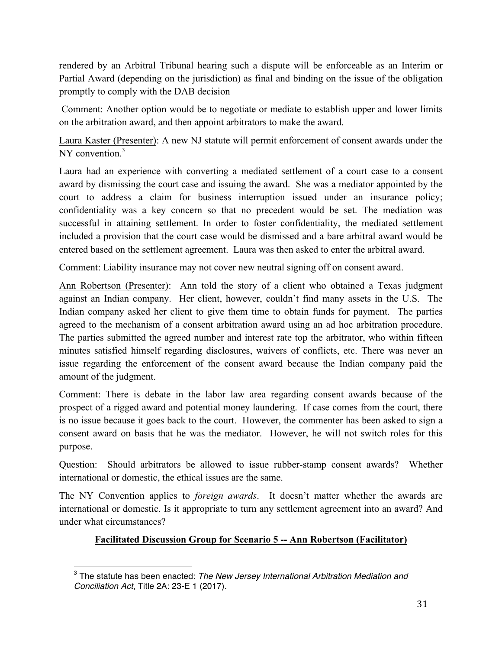rendered by an Arbitral Tribunal hearing such a dispute will be enforceable as an Interim or Partial Award (depending on the jurisdiction) as final and binding on the issue of the obligation promptly to comply with the DAB decision

Comment: Another option would be to negotiate or mediate to establish upper and lower limits on the arbitration award, and then appoint arbitrators to make the award.

Laura Kaster (Presenter): A new NJ statute will permit enforcement of consent awards under the NY convention.<sup>3</sup>

Laura had an experience with converting a mediated settlement of a court case to a consent award by dismissing the court case and issuing the award. She was a mediator appointed by the court to address a claim for business interruption issued under an insurance policy; confidentiality was a key concern so that no precedent would be set. The mediation was successful in attaining settlement. In order to foster confidentiality, the mediated settlement included a provision that the court case would be dismissed and a bare arbitral award would be entered based on the settlement agreement. Laura was then asked to enter the arbitral award.

Comment: Liability insurance may not cover new neutral signing off on consent award.

Ann Robertson (Presenter): Ann told the story of a client who obtained a Texas judgment against an Indian company. Her client, however, couldn't find many assets in the U.S. The Indian company asked her client to give them time to obtain funds for payment. The parties agreed to the mechanism of a consent arbitration award using an ad hoc arbitration procedure. The parties submitted the agreed number and interest rate top the arbitrator, who within fifteen minutes satisfied himself regarding disclosures, waivers of conflicts, etc. There was never an issue regarding the enforcement of the consent award because the Indian company paid the amount of the judgment.

Comment: There is debate in the labor law area regarding consent awards because of the prospect of a rigged award and potential money laundering. If case comes from the court, there is no issue because it goes back to the court. However, the commenter has been asked to sign a consent award on basis that he was the mediator. However, he will not switch roles for this purpose.

Question: Should arbitrators be allowed to issue rubber-stamp consent awards? Whether international or domestic, the ethical issues are the same.

The NY Convention applies to *foreign awards*. It doesn't matter whether the awards are international or domestic. Is it appropriate to turn any settlement agreement into an award? And under what circumstances?

## **Facilitated Discussion Group for Scenario 5 -- Ann Robertson (Facilitator)**

 $\overline{a}$ 

<sup>3</sup> The statute has been enacted: *The New Jersey International Arbitration Mediation and Conciliation Act*, Title 2A: 23-E 1 (2017).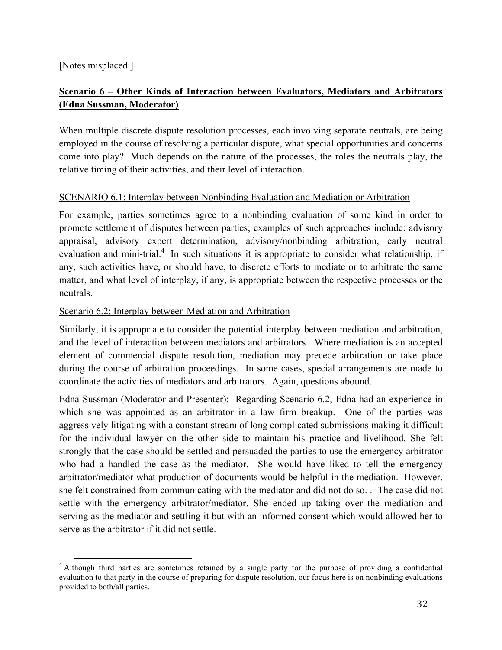[Notes misplaced.]

## **Scenario 6 – Other Kinds of Interaction between Evaluators, Mediators and Arbitrators (Edna Sussman, Moderator)**

When multiple discrete dispute resolution processes, each involving separate neutrals, are being employed in the course of resolving a particular dispute, what special opportunities and concerns come into play? Much depends on the nature of the processes, the roles the neutrals play, the relative timing of their activities, and their level of interaction.

#### SCENARIO 6.1: Interplay between Nonbinding Evaluation and Mediation or Arbitration

For example, parties sometimes agree to a nonbinding evaluation of some kind in order to promote settlement of disputes between parties; examples of such approaches include: advisory appraisal, advisory expert determination, advisory/nonbinding arbitration, early neutral evaluation and mini-trial.<sup>4</sup> In such situations it is appropriate to consider what relationship, if any, such activities have, or should have, to discrete efforts to mediate or to arbitrate the same matter, and what level of interplay, if any, is appropriate between the respective processes or the neutrals.

#### Scenario 6.2: Interplay between Mediation and Arbitration

Similarly, it is appropriate to consider the potential interplay between mediation and arbitration, and the level of interaction between mediators and arbitrators. Where mediation is an accepted element of commercial dispute resolution, mediation may precede arbitration or take place during the course of arbitration proceedings. In some cases, special arrangements are made to coordinate the activities of mediators and arbitrators. Again, questions abound.

Edna Sussman (Moderator and Presenter): Regarding Scenario 6.2, Edna had an experience in which she was appointed as an arbitrator in a law firm breakup. One of the parties was aggressively litigating with a constant stream of long complicated submissions making it difficult for the individual lawyer on the other side to maintain his practice and livelihood. She felt strongly that the case should be settled and persuaded the parties to use the emergency arbitrator who had a handled the case as the mediator. She would have liked to tell the emergency arbitrator/mediator what production of documents would be helpful in the mediation. However, she felt constrained from communicating with the mediator and did not do so. . The case did not settle with the emergency arbitrator/mediator. She ended up taking over the mediation and serving as the mediator and settling it but with an informed consent which would allowed her to serve as the arbitrator if it did not settle.

<sup>&</sup>lt;sup>4</sup> Although third parties are sometimes retained by a single party for the purpose of providing a confidential evaluation to that party in the course of preparing for dispute resolution, our focus here is on nonbinding evaluations provided to both/all parties.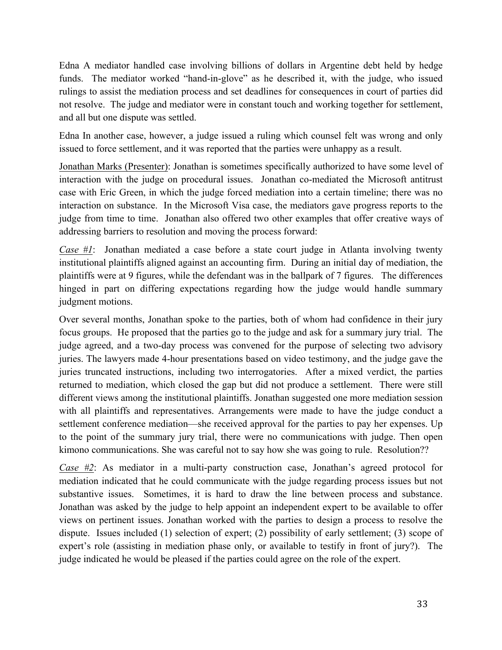Edna A mediator handled case involving billions of dollars in Argentine debt held by hedge funds. The mediator worked "hand-in-glove" as he described it, with the judge, who issued rulings to assist the mediation process and set deadlines for consequences in court of parties did not resolve. The judge and mediator were in constant touch and working together for settlement, and all but one dispute was settled.

Edna In another case, however, a judge issued a ruling which counsel felt was wrong and only issued to force settlement, and it was reported that the parties were unhappy as a result.

Jonathan Marks (Presenter): Jonathan is sometimes specifically authorized to have some level of interaction with the judge on procedural issues. Jonathan co-mediated the Microsoft antitrust case with Eric Green, in which the judge forced mediation into a certain timeline; there was no interaction on substance. In the Microsoft Visa case, the mediators gave progress reports to the judge from time to time. Jonathan also offered two other examples that offer creative ways of addressing barriers to resolution and moving the process forward:

*Case #1*: Jonathan mediated a case before a state court judge in Atlanta involving twenty institutional plaintiffs aligned against an accounting firm. During an initial day of mediation, the plaintiffs were at 9 figures, while the defendant was in the ballpark of 7 figures. The differences hinged in part on differing expectations regarding how the judge would handle summary judgment motions.

Over several months, Jonathan spoke to the parties, both of whom had confidence in their jury focus groups. He proposed that the parties go to the judge and ask for a summary jury trial. The judge agreed, and a two-day process was convened for the purpose of selecting two advisory juries. The lawyers made 4-hour presentations based on video testimony, and the judge gave the juries truncated instructions, including two interrogatories. After a mixed verdict, the parties returned to mediation, which closed the gap but did not produce a settlement. There were still different views among the institutional plaintiffs. Jonathan suggested one more mediation session with all plaintiffs and representatives. Arrangements were made to have the judge conduct a settlement conference mediation—she received approval for the parties to pay her expenses. Up to the point of the summary jury trial, there were no communications with judge. Then open kimono communications. She was careful not to say how she was going to rule. Resolution??

*Case #2*: As mediator in a multi-party construction case, Jonathan's agreed protocol for mediation indicated that he could communicate with the judge regarding process issues but not substantive issues. Sometimes, it is hard to draw the line between process and substance. Jonathan was asked by the judge to help appoint an independent expert to be available to offer views on pertinent issues. Jonathan worked with the parties to design a process to resolve the dispute. Issues included (1) selection of expert; (2) possibility of early settlement; (3) scope of expert's role (assisting in mediation phase only, or available to testify in front of jury?). The judge indicated he would be pleased if the parties could agree on the role of the expert.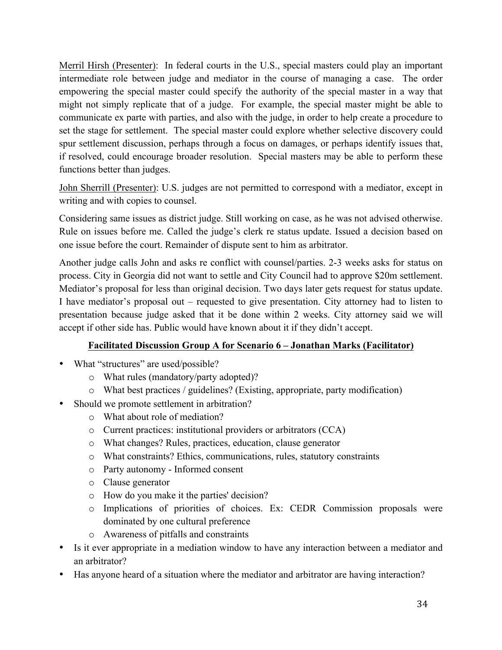Merril Hirsh (Presenter): In federal courts in the U.S., special masters could play an important intermediate role between judge and mediator in the course of managing a case. The order empowering the special master could specify the authority of the special master in a way that might not simply replicate that of a judge. For example, the special master might be able to communicate ex parte with parties, and also with the judge, in order to help create a procedure to set the stage for settlement. The special master could explore whether selective discovery could spur settlement discussion, perhaps through a focus on damages, or perhaps identify issues that, if resolved, could encourage broader resolution. Special masters may be able to perform these functions better than judges.

John Sherrill (Presenter): U.S. judges are not permitted to correspond with a mediator, except in writing and with copies to counsel.

Considering same issues as district judge. Still working on case, as he was not advised otherwise. Rule on issues before me. Called the judge's clerk re status update. Issued a decision based on one issue before the court. Remainder of dispute sent to him as arbitrator.

Another judge calls John and asks re conflict with counsel/parties. 2-3 weeks asks for status on process. City in Georgia did not want to settle and City Council had to approve \$20m settlement. Mediator's proposal for less than original decision. Two days later gets request for status update. I have mediator's proposal out – requested to give presentation. City attorney had to listen to presentation because judge asked that it be done within 2 weeks. City attorney said we will accept if other side has. Public would have known about it if they didn't accept.

## **Facilitated Discussion Group A for Scenario 6 – Jonathan Marks (Facilitator)**

- What "structures" are used/possible?
	- o What rules (mandatory/party adopted)?
	- o What best practices / guidelines? (Existing, appropriate, party modification)
- Should we promote settlement in arbitration?
	- o What about role of mediation?
	- o Current practices: institutional providers or arbitrators (CCA)
	- o What changes? Rules, practices, education, clause generator
	- o What constraints? Ethics, communications, rules, statutory constraints
	- o Party autonomy Informed consent
	- o Clause generator
	- o How do you make it the parties' decision?
	- o Implications of priorities of choices. Ex: CEDR Commission proposals were dominated by one cultural preference
	- o Awareness of pitfalls and constraints
- Is it ever appropriate in a mediation window to have any interaction between a mediator and an arbitrator?
- Has anyone heard of a situation where the mediator and arbitrator are having interaction?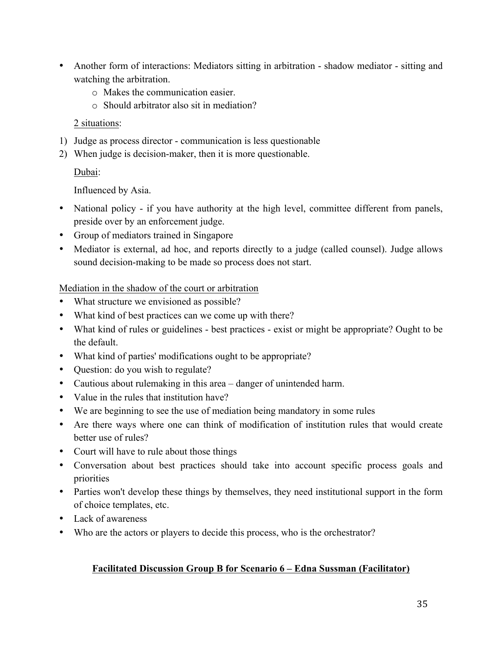- Another form of interactions: Mediators sitting in arbitration shadow mediator sitting and watching the arbitration.
	- o Makes the communication easier.
	- o Should arbitrator also sit in mediation?

#### 2 situations:

- 1) Judge as process director communication is less questionable
- 2) When judge is decision-maker, then it is more questionable.

## Dubai:

Influenced by Asia.

- National policy if you have authority at the high level, committee different from panels, preside over by an enforcement judge.
- Group of mediators trained in Singapore
- Mediator is external, ad hoc, and reports directly to a judge (called counsel). Judge allows sound decision-making to be made so process does not start.

#### Mediation in the shadow of the court or arbitration

- What structure we envisioned as possible?
- What kind of best practices can we come up with there?
- What kind of rules or guidelines best practices exist or might be appropriate? Ought to be the default.
- What kind of parties' modifications ought to be appropriate?
- Question: do you wish to regulate?
- Cautious about rulemaking in this area danger of unintended harm.
- Value in the rules that institution have?
- We are beginning to see the use of mediation being mandatory in some rules
- Are there ways where one can think of modification of institution rules that would create better use of rules?
- Court will have to rule about those things
- Conversation about best practices should take into account specific process goals and priorities
- Parties won't develop these things by themselves, they need institutional support in the form of choice templates, etc.
- Lack of awareness
- Who are the actors or players to decide this process, who is the orchestrator?

#### **Facilitated Discussion Group B for Scenario 6 – Edna Sussman (Facilitator)**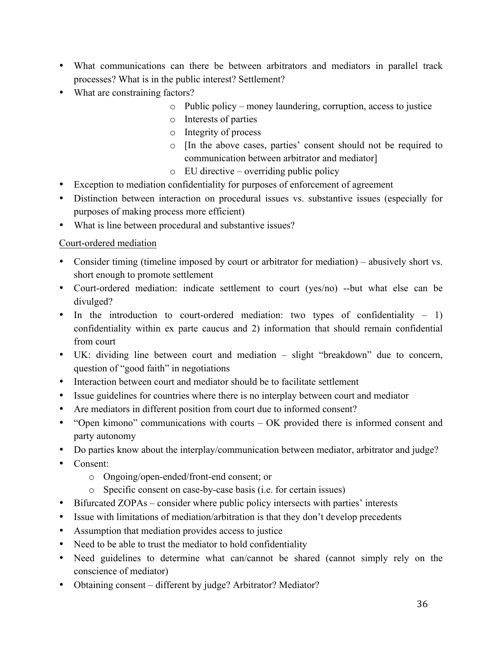- What communications can there be between arbitrators and mediators in parallel track processes? What is in the public interest? Settlement?
- What are constraining factors?
	- o Public policy money laundering, corruption, access to justice
	- o Interests of parties
	- o Integrity of process
	- o [In the above cases, parties' consent should not be required to communication between arbitrator and mediator]
	- o EU directive overriding public policy
- Exception to mediation confidentiality for purposes of enforcement of agreement
- Distinction between interaction on procedural issues vs. substantive issues (especially for purposes of making process more efficient)
- What is line between procedural and substantive issues?

#### Court-ordered mediation

- Consider timing (timeline imposed by court or arbitrator for mediation) abusively short vs. short enough to promote settlement
- Court-ordered mediation: indicate settlement to court (yes/no) --but what else can be divulged?
- In the introduction to court-ordered mediation: two types of confidentiality  $-1$ ) confidentiality within ex parte caucus and 2) information that should remain confidential from court
- UK: dividing line between court and mediation slight "breakdown" due to concern, question of "good faith" in negotiations
- Interaction between court and mediator should be to facilitate settlement
- Issue guidelines for countries where there is no interplay between court and mediator
- Are mediators in different position from court due to informed consent?
- "Open kimono" communications with courts OK provided there is informed consent and party autonomy
- Do parties know about the interplay/communication between mediator, arbitrator and judge?
- Consent:
	- o Ongoing/open-ended/front-end consent; or
	- o Specific consent on case-by-case basis (i.e. for certain issues)
- Bifurcated ZOPAs consider where public policy intersects with parties' interests
- Issue with limitations of mediation/arbitration is that they don't develop precedents
- Assumption that mediation provides access to justice
- Need to be able to trust the mediator to hold confidentiality
- Need guidelines to determine what can/cannot be shared (cannot simply rely on the conscience of mediator)
- Obtaining consent different by judge? Arbitrator? Mediator?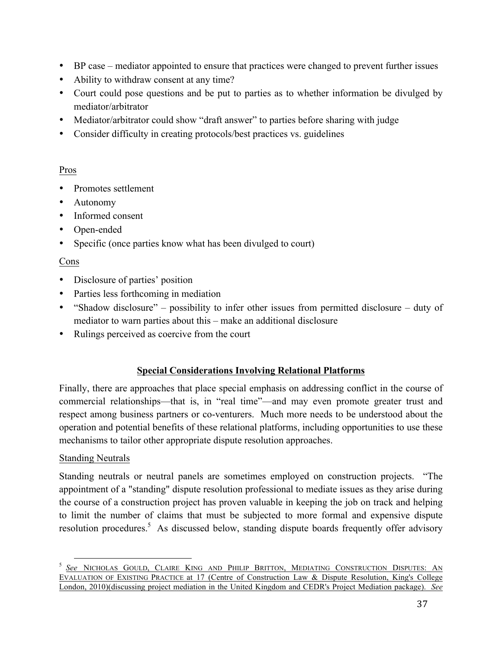- BP case mediator appointed to ensure that practices were changed to prevent further issues
- Ability to withdraw consent at any time?
- Court could pose questions and be put to parties as to whether information be divulged by mediator/arbitrator
- Mediator/arbitrator could show "draft answer" to parties before sharing with judge
- Consider difficulty in creating protocols/best practices vs. guidelines

## Pros

- Promotes settlement
- Autonomy
- Informed consent
- Open-ended
- Specific (once parties know what has been divulged to court)

## Cons

- Disclosure of parties' position
- Parties less forthcoming in mediation
- "Shadow disclosure" possibility to infer other issues from permitted disclosure duty of mediator to warn parties about this – make an additional disclosure
- Rulings perceived as coercive from the court

## **Special Considerations Involving Relational Platforms**

Finally, there are approaches that place special emphasis on addressing conflict in the course of commercial relationships—that is, in "real time"—and may even promote greater trust and respect among business partners or co-venturers. Much more needs to be understood about the operation and potential benefits of these relational platforms, including opportunities to use these mechanisms to tailor other appropriate dispute resolution approaches.

## Standing Neutrals

Standing neutrals or neutral panels are sometimes employed on construction projects. "The appointment of a "standing" dispute resolution professional to mediate issues as they arise during the course of a construction project has proven valuable in keeping the job on track and helping to limit the number of claims that must be subjected to more formal and expensive dispute resolution procedures.<sup>5</sup> As discussed below, standing dispute boards frequently offer advisory

 <sup>5</sup> *See* NICHOLAS GOULD, CLAIRE KING AND PHILIP BRITTON, MEDIATING CONSTRUCTION DISPUTES: AN EVALUATION OF EXISTING PRACTICE at 17 (Centre of Construction Law & Dispute Resolution, King's College London, 2010)(discussing project mediation in the United Kingdom and CEDR's Project Mediation package). *See*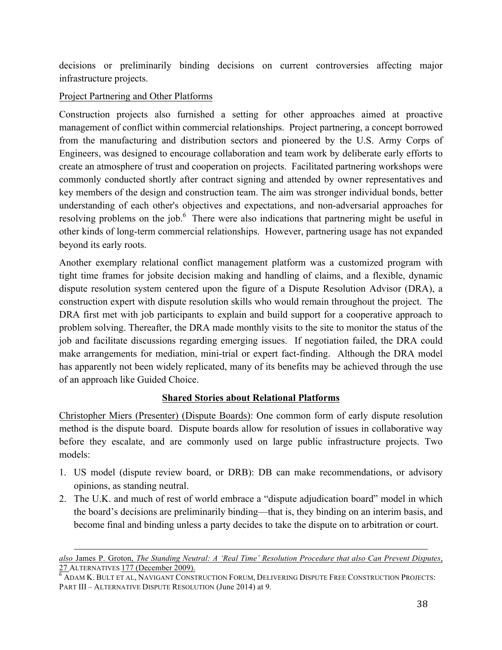decisions or preliminarily binding decisions on current controversies affecting major infrastructure projects.

#### Project Partnering and Other Platforms

Construction projects also furnished a setting for other approaches aimed at proactive management of conflict within commercial relationships. Project partnering, a concept borrowed from the manufacturing and distribution sectors and pioneered by the U.S. Army Corps of Engineers, was designed to encourage collaboration and team work by deliberate early efforts to create an atmosphere of trust and cooperation on projects. Facilitated partnering workshops were commonly conducted shortly after contract signing and attended by owner representatives and key members of the design and construction team. The aim was stronger individual bonds, better understanding of each other's objectives and expectations, and non-adversarial approaches for resolving problems on the job.<sup>6</sup> There were also indications that partnering might be useful in other kinds of long-term commercial relationships. However, partnering usage has not expanded beyond its early roots.

Another exemplary relational conflict management platform was a customized program with tight time frames for jobsite decision making and handling of claims, and a flexible, dynamic dispute resolution system centered upon the figure of a Dispute Resolution Advisor (DRA), a construction expert with dispute resolution skills who would remain throughout the project. The DRA first met with job participants to explain and build support for a cooperative approach to problem solving. Thereafter, the DRA made monthly visits to the site to monitor the status of the job and facilitate discussions regarding emerging issues. If negotiation failed, the DRA could make arrangements for mediation, mini-trial or expert fact-finding. Although the DRA model has apparently not been widely replicated, many of its benefits may be achieved through the use of an approach like Guided Choice.

## **Shared Stories about Relational Platforms**

Christopher Miers (Presenter) (Dispute Boards): One common form of early dispute resolution method is the dispute board. Dispute boards allow for resolution of issues in collaborative way before they escalate, and are commonly used on large public infrastructure projects. Two models:

- 1. US model (dispute review board, or DRB): DB can make recommendations, or advisory opinions, as standing neutral.
- 2. The U.K. and much of rest of world embrace a "dispute adjudication board" model in which the board's decisions are preliminarily binding—that is, they binding on an interim basis, and become final and binding unless a party decides to take the dispute on to arbitration or court.

 $\overline{a}$ *also* James P. Groton, *The Standing Neutral: A 'Real Time' Resolution Procedure that also Can Prevent Disputes*, 27 ALTERNATIVES 177 (December 2009).<br><sup>6</sup> ADAM K. BULT ET AL, NAVIGANT CONSTRUCTION FORUM, DELIVERING DISPUTE FREE CONSTRUCTION PROJECTS:

PART III – ALTERNATIVE DISPUTE RESOLUTION (June 2014) at 9.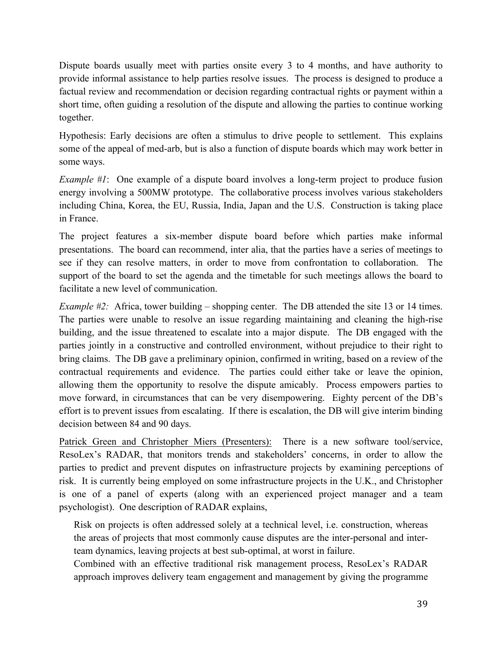Dispute boards usually meet with parties onsite every 3 to 4 months, and have authority to provide informal assistance to help parties resolve issues. The process is designed to produce a factual review and recommendation or decision regarding contractual rights or payment within a short time, often guiding a resolution of the dispute and allowing the parties to continue working together.

Hypothesis: Early decisions are often a stimulus to drive people to settlement. This explains some of the appeal of med-arb, but is also a function of dispute boards which may work better in some ways.

*Example #1*: One example of a dispute board involves a long-term project to produce fusion energy involving a 500MW prototype. The collaborative process involves various stakeholders including China, Korea, the EU, Russia, India, Japan and the U.S. Construction is taking place in France.

The project features a six-member dispute board before which parties make informal presentations. The board can recommend, inter alia, that the parties have a series of meetings to see if they can resolve matters, in order to move from confrontation to collaboration. The support of the board to set the agenda and the timetable for such meetings allows the board to facilitate a new level of communication.

*Example #2:* Africa, tower building – shopping center. The DB attended the site 13 or 14 times. The parties were unable to resolve an issue regarding maintaining and cleaning the high-rise building, and the issue threatened to escalate into a major dispute. The DB engaged with the parties jointly in a constructive and controlled environment, without prejudice to their right to bring claims. The DB gave a preliminary opinion, confirmed in writing, based on a review of the contractual requirements and evidence. The parties could either take or leave the opinion, allowing them the opportunity to resolve the dispute amicably. Process empowers parties to move forward, in circumstances that can be very disempowering. Eighty percent of the DB's effort is to prevent issues from escalating. If there is escalation, the DB will give interim binding decision between 84 and 90 days.

Patrick Green and Christopher Miers (Presenters): There is a new software tool/service, ResoLex's RADAR, that monitors trends and stakeholders' concerns, in order to allow the parties to predict and prevent disputes on infrastructure projects by examining perceptions of risk. It is currently being employed on some infrastructure projects in the U.K., and Christopher is one of a panel of experts (along with an experienced project manager and a team psychologist). One description of RADAR explains,

Risk on projects is often addressed solely at a technical level, i.e. construction, whereas the areas of projects that most commonly cause disputes are the inter-personal and interteam dynamics, leaving projects at best sub-optimal, at worst in failure.

Combined with an effective traditional risk management process, ResoLex's RADAR approach improves delivery team engagement and management by giving the programme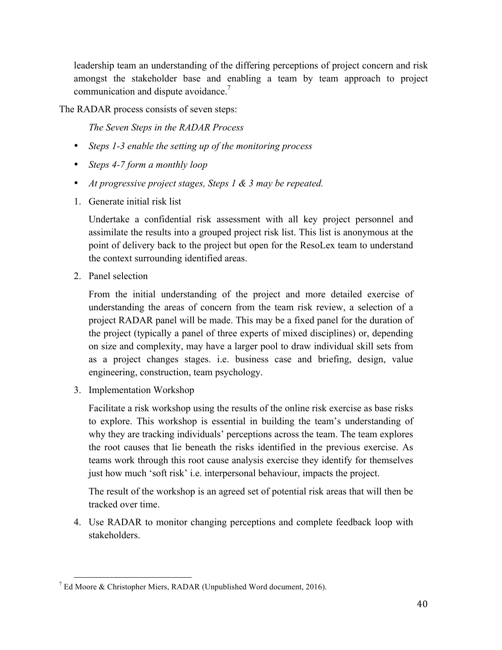leadership team an understanding of the differing perceptions of project concern and risk amongst the stakeholder base and enabling a team by team approach to project communication and dispute avoidance.<sup>7</sup>

The RADAR process consists of seven steps:

*The Seven Steps in the RADAR Process*

- *Steps 1-3 enable the setting up of the monitoring process*
- *Steps 4-7 form a monthly loop*
- *At progressive project stages, Steps 1 & 3 may be repeated.*
- 1. Generate initial risk list

Undertake a confidential risk assessment with all key project personnel and assimilate the results into a grouped project risk list. This list is anonymous at the point of delivery back to the project but open for the ResoLex team to understand the context surrounding identified areas.

2. Panel selection

From the initial understanding of the project and more detailed exercise of understanding the areas of concern from the team risk review, a selection of a project RADAR panel will be made. This may be a fixed panel for the duration of the project (typically a panel of three experts of mixed disciplines) or, depending on size and complexity, may have a larger pool to draw individual skill sets from as a project changes stages. i.e. business case and briefing, design, value engineering, construction, team psychology.

3. Implementation Workshop

Facilitate a risk workshop using the results of the online risk exercise as base risks to explore. This workshop is essential in building the team's understanding of why they are tracking individuals' perceptions across the team. The team explores the root causes that lie beneath the risks identified in the previous exercise. As teams work through this root cause analysis exercise they identify for themselves just how much 'soft risk' i.e. interpersonal behaviour, impacts the project.

The result of the workshop is an agreed set of potential risk areas that will then be tracked over time.

4. Use RADAR to monitor changing perceptions and complete feedback loop with stakeholders.

 $7$  Ed Moore & Christopher Miers, RADAR (Unpublished Word document, 2016).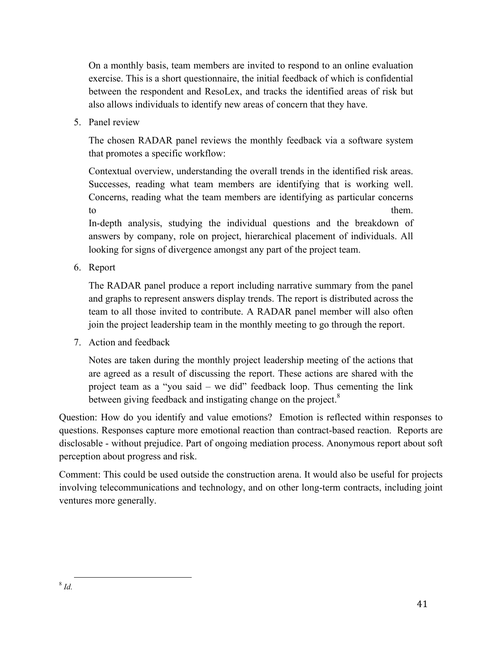On a monthly basis, team members are invited to respond to an online evaluation exercise. This is a short questionnaire, the initial feedback of which is confidential between the respondent and ResoLex, and tracks the identified areas of risk but also allows individuals to identify new areas of concern that they have.

5. Panel review

The chosen RADAR panel reviews the monthly feedback via a software system that promotes a specific workflow:

Contextual overview, understanding the overall trends in the identified risk areas. Successes, reading what team members are identifying that is working well. Concerns, reading what the team members are identifying as particular concerns to them.

In-depth analysis, studying the individual questions and the breakdown of answers by company, role on project, hierarchical placement of individuals. All looking for signs of divergence amongst any part of the project team.

6. Report

The RADAR panel produce a report including narrative summary from the panel and graphs to represent answers display trends. The report is distributed across the team to all those invited to contribute. A RADAR panel member will also often join the project leadership team in the monthly meeting to go through the report.

7. Action and feedback

Notes are taken during the monthly project leadership meeting of the actions that are agreed as a result of discussing the report. These actions are shared with the project team as a "you said – we did" feedback loop. Thus cementing the link between giving feedback and instigating change on the project.<sup>8</sup>

Question: How do you identify and value emotions? Emotion is reflected within responses to questions. Responses capture more emotional reaction than contract-based reaction. Reports are disclosable - without prejudice. Part of ongoing mediation process. Anonymous report about soft perception about progress and risk.

Comment: This could be used outside the construction arena. It would also be useful for projects involving telecommunications and technology, and on other long-term contracts, including joint ventures more generally.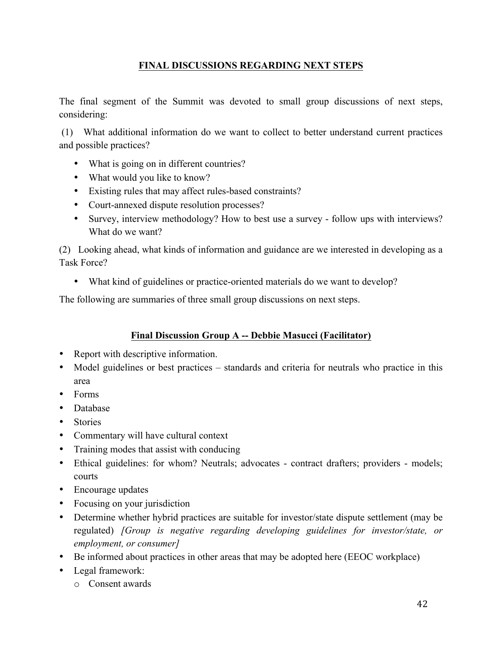## **FINAL DISCUSSIONS REGARDING NEXT STEPS**

The final segment of the Summit was devoted to small group discussions of next steps, considering:

(1) What additional information do we want to collect to better understand current practices and possible practices?

- What is going on in different countries?
- What would you like to know?
- Existing rules that may affect rules-based constraints?
- Court-annexed dispute resolution processes?
- Survey, interview methodology? How to best use a survey follow ups with interviews? What do we want?

(2) Looking ahead, what kinds of information and guidance are we interested in developing as a Task Force?

• What kind of guidelines or practice-oriented materials do we want to develop?

The following are summaries of three small group discussions on next steps.

## **Final Discussion Group A -- Debbie Masucci (Facilitator)**

- Report with descriptive information.
- Model guidelines or best practices standards and criteria for neutrals who practice in this area
- Forms
- Database
- Stories
- Commentary will have cultural context
- Training modes that assist with conducing
- Ethical guidelines: for whom? Neutrals; advocates contract drafters; providers models; courts
- Encourage updates
- Focusing on your jurisdiction
- Determine whether hybrid practices are suitable for investor/state dispute settlement (may be regulated) *[Group is negative regarding developing guidelines for investor/state, or employment, or consumer]*
- Be informed about practices in other areas that may be adopted here (EEOC workplace)
- Legal framework:
	- o Consent awards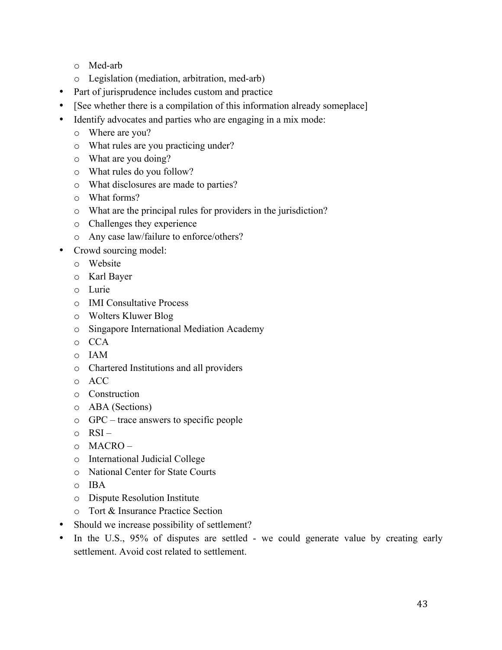- o Med-arb
- o Legislation (mediation, arbitration, med-arb)
- Part of jurisprudence includes custom and practice
- [See whether there is a compilation of this information already someplace]
- Identify advocates and parties who are engaging in a mix mode:
	- o Where are you?
	- o What rules are you practicing under?
	- o What are you doing?
	- o What rules do you follow?
	- o What disclosures are made to parties?
	- o What forms?
	- o What are the principal rules for providers in the jurisdiction?
	- o Challenges they experience
	- o Any case law/failure to enforce/others?
- Crowd sourcing model:
	- o Website
	- o Karl Bayer
	- o Lurie
	- o IMI Consultative Process
	- o Wolters Kluwer Blog
	- o Singapore International Mediation Academy
	- o CCA
	- o IAM
	- o Chartered Institutions and all providers
	- o ACC
	- o Construction
	- o ABA (Sections)
	- o GPC trace answers to specific people
	- $\circ$  RSI $-$
	- o MACRO –
	- o International Judicial College
	- o National Center for State Courts
	- o IBA
	- o Dispute Resolution Institute
	- o Tort & Insurance Practice Section
- Should we increase possibility of settlement?
- In the U.S., 95% of disputes are settled we could generate value by creating early settlement. Avoid cost related to settlement.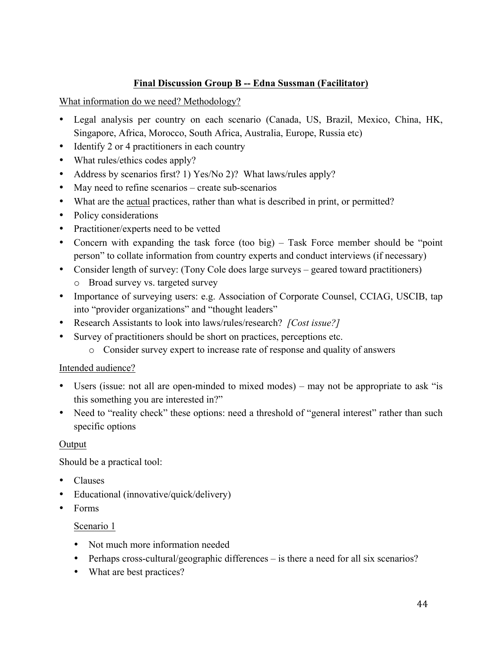## **Final Discussion Group B -- Edna Sussman (Facilitator)**

What information do we need? Methodology?

- Legal analysis per country on each scenario (Canada, US, Brazil, Mexico, China, HK, Singapore, Africa, Morocco, South Africa, Australia, Europe, Russia etc)
- Identify 2 or 4 practitioners in each country
- What rules/ethics codes apply?
- Address by scenarios first? 1) Yes/No 2)? What laws/rules apply?
- May need to refine scenarios create sub-scenarios
- What are the actual practices, rather than what is described in print, or permitted?
- Policy considerations
- Practitioner/experts need to be vetted
- Concern with expanding the task force (too big) Task Force member should be "point" person" to collate information from country experts and conduct interviews (if necessary)
- Consider length of survey: (Tony Cole does large surveys geared toward practitioners) o Broad survey vs. targeted survey
- Importance of surveying users: e.g. Association of Corporate Counsel, CCIAG, USCIB, tap into "provider organizations" and "thought leaders"
- Research Assistants to look into laws/rules/research? *[Cost issue?]*
- Survey of practitioners should be short on practices, perceptions etc.
	- o Consider survey expert to increase rate of response and quality of answers

#### Intended audience?

- Users (issue: not all are open-minded to mixed modes) may not be appropriate to ask "is this something you are interested in?"
- Need to "reality check" these options: need a threshold of "general interest" rather than such specific options

#### **Output**

Should be a practical tool:

- Clauses
- Educational (innovative/quick/delivery)
- Forms

#### Scenario 1

- Not much more information needed
- Perhaps cross-cultural/geographic differences is there a need for all six scenarios?
- What are best practices?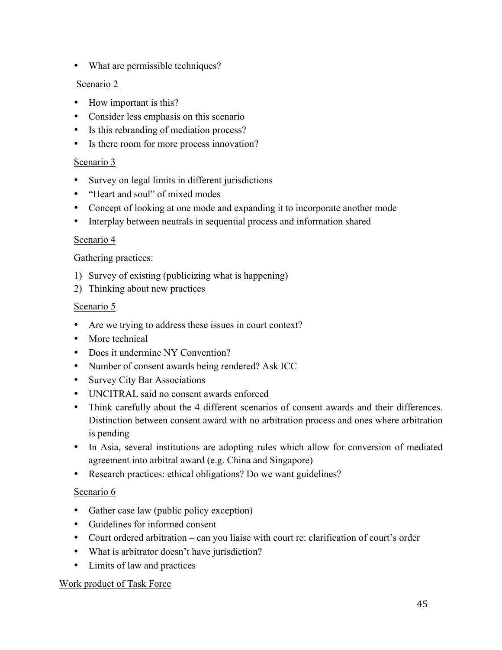• What are permissible techniques?

#### Scenario 2

- How important is this?
- Consider less emphasis on this scenario
- Is this rebranding of mediation process?
- Is there room for more process innovation?

## Scenario 3

- Survey on legal limits in different jurisdictions
- "Heart and soul" of mixed modes
- Concept of looking at one mode and expanding it to incorporate another mode
- Interplay between neutrals in sequential process and information shared

#### Scenario 4

#### Gathering practices:

- 1) Survey of existing (publicizing what is happening)
- 2) Thinking about new practices

#### Scenario 5

- Are we trying to address these issues in court context?
- More technical
- Does it undermine NY Convention?
- Number of consent awards being rendered? Ask ICC
- Survey City Bar Associations
- UNCITRAL said no consent awards enforced
- Think carefully about the 4 different scenarios of consent awards and their differences. Distinction between consent award with no arbitration process and ones where arbitration is pending
- In Asia, several institutions are adopting rules which allow for conversion of mediated agreement into arbitral award (e.g. China and Singapore)
- Research practices: ethical obligations? Do we want guidelines?

## Scenario 6

- Gather case law (public policy exception)
- Guidelines for informed consent
- Court ordered arbitration can you liaise with court re: clarification of court's order
- What is arbitrator doesn't have jurisdiction?
- Limits of law and practices

#### Work product of Task Force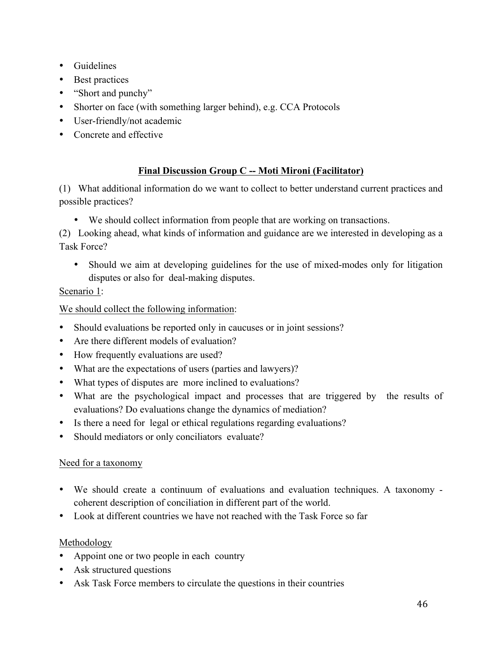- Guidelines
- Best practices
- "Short and punchy"
- Shorter on face (with something larger behind), e.g. CCA Protocols
- User-friendly/not academic
- Concrete and effective

## **Final Discussion Group C -- Moti Mironi (Facilitator)**

(1) What additional information do we want to collect to better understand current practices and possible practices?

• We should collect information from people that are working on transactions.

(2) Looking ahead, what kinds of information and guidance are we interested in developing as a Task Force?

• Should we aim at developing guidelines for the use of mixed-modes only for litigation disputes or also for deal-making disputes.

## Scenario 1:

We should collect the following information:

- Should evaluations be reported only in caucuses or in joint sessions?
- Are there different models of evaluation?
- How frequently evaluations are used?
- What are the expectations of users (parties and lawyers)?
- What types of disputes are more inclined to evaluations?
- What are the psychological impact and processes that are triggered by the results of evaluations? Do evaluations change the dynamics of mediation?
- Is there a need for legal or ethical regulations regarding evaluations?
- Should mediators or only conciliators evaluate?

## Need for a taxonomy

- We should create a continuum of evaluations and evaluation techniques. A taxonomy coherent description of conciliation in different part of the world.
- Look at different countries we have not reached with the Task Force so far

## Methodology

- Appoint one or two people in each country
- Ask structured questions
- Ask Task Force members to circulate the questions in their countries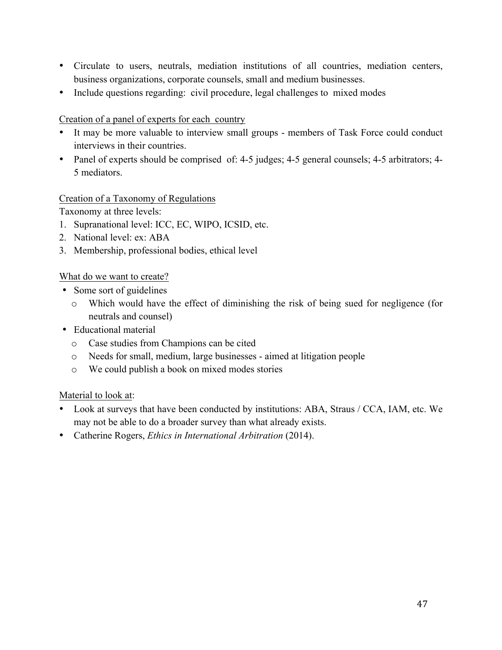- Circulate to users, neutrals, mediation institutions of all countries, mediation centers, business organizations, corporate counsels, small and medium businesses.
- Include questions regarding: civil procedure, legal challenges to mixed modes

#### Creation of a panel of experts for each country

- It may be more valuable to interview small groups members of Task Force could conduct interviews in their countries.
- Panel of experts should be comprised of: 4-5 judges; 4-5 general counsels; 4-5 arbitrators; 4- 5 mediators.

#### Creation of a Taxonomy of Regulations

Taxonomy at three levels:

- 1. Supranational level: ICC, EC, WIPO, ICSID, etc.
- 2. National level: ex: ABA
- 3. Membership, professional bodies, ethical level

#### What do we want to create?

- Some sort of guidelines
	- o Which would have the effect of diminishing the risk of being sued for negligence (for neutrals and counsel)
- Educational material
	- o Case studies from Champions can be cited
	- o Needs for small, medium, large businesses aimed at litigation people
	- o We could publish a book on mixed modes stories

#### Material to look at:

- Look at surveys that have been conducted by institutions: ABA, Straus / CCA, IAM, etc. We may not be able to do a broader survey than what already exists.
- Catherine Rogers, *Ethics in International Arbitration* (2014).